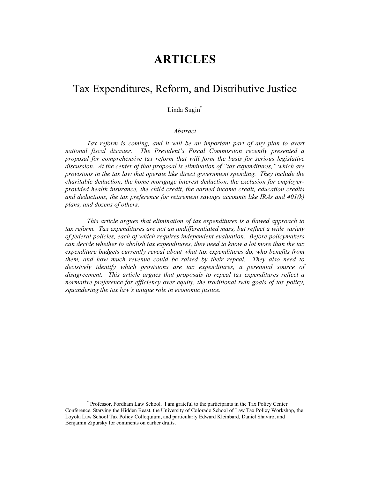# **ARTICLES**

# Tax Expenditures, Reform, and Distributive Justice

# Linda Sugin\*

#### *Abstract*

*Tax reform is coming, and it will be an important part of any plan to avert national fiscal disaster. The President's Fiscal Commission recently presented a proposal for comprehensive tax reform that will form the basis for serious legislative discussion. At the center of that proposal is elimination of "tax expenditures," which are provisions in the tax law that operate like direct government spending. They include the charitable deduction, the home mortgage interest deduction, the exclusion for employerprovided health insurance, the child credit, the earned income credit, education credits and deductions, the tax preference for retirement savings accounts like IRAs and 401(k) plans, and dozens of others.*

*This article argues that elimination of tax expenditures is a flawed approach to*  tax reform. Tax expenditures are not an undifferentiated mass, but reflect a wide variety *of federal policies, each of which requires independent evaluation. Before policymakers can decide whether to abolish tax expenditures, they need to know a lot more than the tax expenditure budgets currently reveal about what tax expenditures do, who benefits from them, and how much revenue could be raised by their repeal. They also need to decisively identify which provisions are tax expenditures, a perennial source of disagreement. This article argues that proposals to repeal tax expenditures reflect a normative preference for efficiency over equity, the traditional twin goals of tax policy, squandering the tax law's unique role in economic justice.* 

 <sup>\*</sup> Professor, Fordham Law School. I am grateful to the participants in the Tax Policy Center Conference, Starving the Hidden Beast, the University of Colorado School of Law Tax Policy Workshop, the Loyola Law School Tax Policy Colloquium, and particularly Edward Kleinbard, Daniel Shaviro, and Benjamin Zipursky for comments on earlier drafts.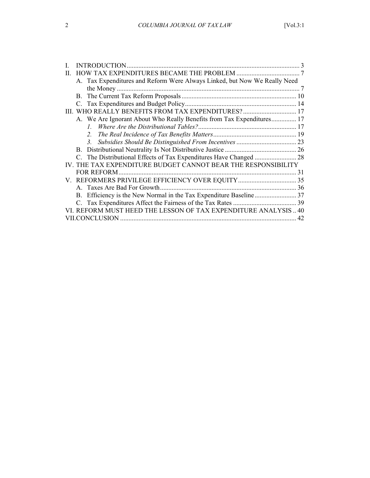|   |                                                               | A. Tax Expenditures and Reform Were Always Linked, but Now We Really Need |    |  |
|---|---------------------------------------------------------------|---------------------------------------------------------------------------|----|--|
|   |                                                               |                                                                           |    |  |
|   |                                                               |                                                                           |    |  |
|   |                                                               |                                                                           |    |  |
| Ш |                                                               | WHO REALLY BENEFITS FROM TAX EXPENDITURES?  17                            |    |  |
|   |                                                               | A. We Are Ignorant About Who Really Benefits from Tax Expenditures 17     |    |  |
|   |                                                               | $l_{-}$                                                                   |    |  |
|   |                                                               | 2.                                                                        |    |  |
|   |                                                               | 3 <sub>l</sub>                                                            |    |  |
|   |                                                               |                                                                           |    |  |
|   |                                                               | C. The Distributional Effects of Tax Expenditures Have Changed  28        |    |  |
|   | IV. THE TAX EXPENDITURE BUDGET CANNOT BEAR THE RESPONSIBILITY |                                                                           |    |  |
|   |                                                               | <b>FOR REFORM</b>                                                         | 31 |  |
|   |                                                               |                                                                           |    |  |
|   |                                                               |                                                                           |    |  |
|   |                                                               |                                                                           |    |  |
|   |                                                               |                                                                           |    |  |
|   |                                                               | VI. REFORM MUST HEED THE LESSON OF TAX EXPENDITURE ANALYSIS  40           |    |  |
|   | 42                                                            |                                                                           |    |  |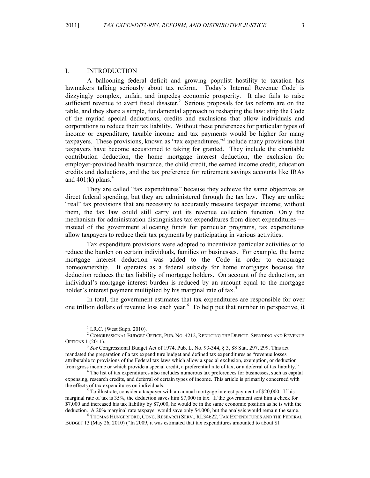#### I. INTRODUCTION

A ballooning federal deficit and growing populist hostility to taxation has lawmakers talking seriously about tax reform. Today's Internal Revenue Code<sup>1</sup> is dizzyingly complex, unfair, and impedes economic prosperity. It also fails to raise sufficient revenue to avert fiscal disaster.<sup>2</sup> Serious proposals for tax reform are on the table, and they share a simple, fundamental approach to reshaping the law: strip the Code of the myriad special deductions, credits and exclusions that allow individuals and corporations to reduce their tax liability. Without these preferences for particular types of income or expenditure, taxable income and tax payments would be higher for many taxpayers. These provisions, known as "tax expenditures,"<sup>3</sup> include many provisions that taxpayers have become accustomed to taking for granted. They include the charitable contribution deduction, the home mortgage interest deduction, the exclusion for employer-provided health insurance, the child credit, the earned income credit, education credits and deductions, and the tax preference for retirement savings accounts like IRAs and  $401(k)$  plans.<sup>4</sup>

They are called "tax expenditures" because they achieve the same objectives as direct federal spending, but they are administered through the tax law. They are unlike "real" tax provisions that are necessary to accurately measure taxpayer income; without them, the tax law could still carry out its revenue collection function. Only the mechanism for administration distinguishes tax expenditures from direct expenditures instead of the government allocating funds for particular programs, tax expenditures allow taxpayers to reduce their tax payments by participating in various activities.

Tax expenditure provisions were adopted to incentivize particular activities or to reduce the burden on certain individuals, families or businesses. For example, the home mortgage interest deduction was added to the Code in order to encourage homeownership. It operates as a federal subsidy for home mortgages because the deduction reduces the tax liability of mortgage holders. On account of the deduction, an individual's mortgage interest burden is reduced by an amount equal to the mortgage holder's interest payment multiplied by his marginal rate of tax.<sup>5</sup>

In total, the government estimates that tax expenditures are responsible for over one trillion dollars of revenue loss each year.<sup>6</sup> To help put that number in perspective, it

 $\frac{1}{1}$  $<sup>1</sup>$  I.R.C. (West Supp. 2010).</sup>

<sup>&</sup>lt;sup>2</sup> CONGRESSIONAL BUDGET OFFICE, PUB. NO. 4212, REDUCING THE DEFICIT: SPENDING AND REVENUE OPTIONS 1 (2011).

<sup>3</sup> *See* Congressional Budget Act of 1974, Pub. L. No. 93-344, § 3, 88 Stat. 297, 299. This act mandated the preparation of a tax expenditure budget and defined tax expenditures as "revenue losses attributable to provisions of the Federal tax laws which allow a special exclusion, exemption, or deduction from gross income or which provide a special credit, a preferential rate of tax, or a deferral of tax liability." <sup>4</sup>

<sup>&</sup>lt;sup>4</sup> The list of tax expenditures also includes numerous tax preferences for businesses, such as capital expensing, research credits, and deferral of certain types of income. This article is primarily concerned with the effects of tax expenditures on individuals.

 $5$  To illustrate, consider a taxpayer with an annual mortgage interest payment of \$20,000. If his marginal rate of tax is 35%, the deduction saves him \$7,000 in tax. If the government sent him a check for \$7,000 and increased his tax liability by \$7,000, he would be in the same economic position as he is with the deduction. A 20% marginal rate taxpayer would save only \$4,000, but the analysis would remain the same.<br><sup>6</sup> THOMAS HUNGERFORD, CONG. RESEARCH SERV., RL34622, TAX EXPENDITURES AND THE FEDERAL

BUDGET 13 (May 26, 2010) ("In 2009, it was estimated that tax expenditures amounted to about \$1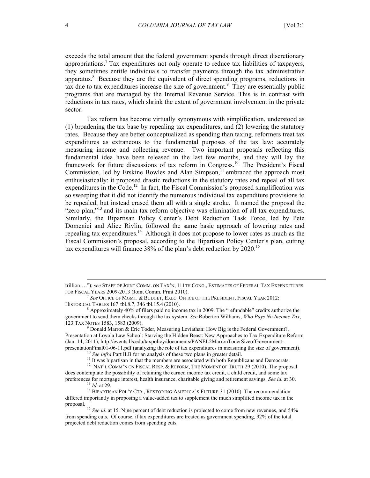exceeds the total amount that the federal government spends through direct discretionary appropriations. 7 Tax expenditures not only operate to reduce tax liabilities of taxpayers, they sometimes entitle individuals to transfer payments through the tax administrative apparatus.<sup>8</sup> Because they are the equivalent of direct spending programs, reductions in  $\overrightarrow{ax}$  due to tax expenditures increase the size of government.<sup>9</sup> They are essentially public programs that are managed by the Internal Revenue Service. This is in contrast with reductions in tax rates, which shrink the extent of government involvement in the private sector.

Tax reform has become virtually synonymous with simplification, understood as (1) broadening the tax base by repealing tax expenditures, and (2) lowering the statutory rates. Because they are better conceptualized as spending than taxing, reformers treat tax expenditures as extraneous to the fundamental purposes of the tax law: accurately measuring income and collecting revenue. Two important proposals reflecting this fundamental idea have been released in the last few months, and they will lay the framework for future discussions of tax reform in Congress.<sup>10</sup> The President's Fiscal Commission, led by Erskine Bowles and Alan Simpson, $<sup>11</sup>$  embraced the approach most</sup> enthusiastically: it proposed drastic reductions in the statutory rates and repeal of all tax expenditures in the Code.<sup>12</sup> In fact, the Fiscal Commission's proposed simplification was so sweeping that it did not identify the numerous individual tax expenditure provisions to be repealed, but instead erased them all with a single stroke. It named the proposal the "zero plan,"<sup>13</sup> and its main tax reform objective was elimination of all tax expenditures. Similarly, the Bipartisan Policy Center's Debt Reduction Task Force, led by Pete Domenici and Alice Rivlin, followed the same basic approach of lowering rates and repealing tax expenditures.<sup>14</sup> Although it does not propose to lower rates as much as the Fiscal Commission's proposal, according to the Bipartisan Policy Center's plan, cutting tax expenditures will finance 38% of the plan's debt reduction by 2020. 15

trillion…."); *see* STAFF OF JOINT COMM. ON TAX'N, 111TH CONG., ESTIMATES OF FEDERAL TAX EXPENDITURES FOR FISCAL YEARS 2009-2013 (Joint Comm. Print 2010). <sup>7</sup> *See* OFFICE OF MGMT. & BUDGET, EXEC. OFFICE OF THE PRESIDENT, FISCAL YEAR 2012:

HISTORICAL TABLES 167 tbl.8.7, 346 tbl.15.4 (2010). <sup>8</sup>

 $\beta$  Approximately 40% of filers paid no income tax in 2009. The "refundable" credits authorize the government to send them checks through the tax system. *See* Roberton Williams, *Who Pays No Income Tax*, 123 TAX NOTES 1583, 1583 (2009). 9

 $D$  Donald Marron  $\&$  Eric Toder, Measuring Leviathan: How Big is the Federal Government?, Presentation at Loyola Law School: Starving the Hidden Beast: New Approaches to Tax Expenditure Reform (Jan. 14, 2011), http://events.lls.edu/taxpolicy/documents/PANEL2MarronToderSizeofGovernment-<br>presentationFinal01-06-11.pdf (analyzing the role of tax expenditures in measuring the size of government).

<sup>&</sup>lt;sup>10</sup> See infra Part II.B for an analysis of these two plans in greater detail.<br><sup>11</sup> It was bipartisan in that the members are associated with both Republicans and Democrats.

<sup>&</sup>lt;sup>12</sup> NAT'L COMM'N ON FISCAL RESP. & REFORM, THE MOMENT OF TRUTH 29 (2010). The proposal does contemplate the possibility of retaining the earned income tax credit, a child credit, and some tax

preferences for mortgage interest, health insurance, charitable giving and retirement savings. *See id.* at 30.<br><sup>13</sup> *Id.* at 29.<br><sup>14</sup> BIPARTISAN POL'Y CTR., RESTORING AMERICA'S FUTURE 31 (2010). The recommendation

differed importantly in proposing a value-added tax to supplement the much simplified income tax in the

proposal. <sup>15</sup> *See id.* at 15. Nine percent of debt reduction is projected to come from new revenues, and 54% from spending cuts. Of course, if tax expenditures are treated as government spending, 92% of the total projected debt reduction comes from spending cuts.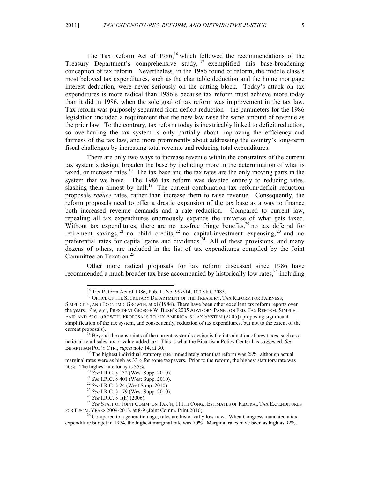The Tax Reform Act of 1986,<sup>16</sup> which followed the recommendations of the Treasury Department's comprehensive study, <sup>17</sup> exemplified this base-broadening conception of tax reform. Nevertheless, in the 1986 round of reform, the middle class's most beloved tax expenditures, such as the charitable deduction and the home mortgage interest deduction, were never seriously on the cutting block. Today's attack on tax expenditures is more radical than 1986's because tax reform must achieve more today than it did in 1986, when the sole goal of tax reform was improvement in the tax law. Tax reform was purposely separated from deficit reduction—the parameters for the 1986 legislation included a requirement that the new law raise the same amount of revenue as the prior law. To the contrary, tax reform today is inextricably linked to deficit reduction, so overhauling the tax system is only partially about improving the efficiency and fairness of the tax law, and more prominently about addressing the country's long-term fiscal challenges by increasing total revenue and reducing total expenditures.

There are only two ways to increase revenue within the constraints of the current tax system's design: broaden the base by including more in the determination of what is taxed, or increase rates. 18 The tax base and the tax rates are the only moving parts in the system that we have. The 1986 tax reform was devoted entirely to reducing rates, slashing them almost by half.<sup>19</sup> The current combination tax reform/deficit reduction proposals *reduce* rates, rather than increase them to raise revenue. Consequently, the reform proposals need to offer a drastic expansion of the tax base as a way to finance both increased revenue demands and a rate reduction. Compared to current law, repealing all tax expenditures enormously expands the universe of what gets taxed. Without tax expenditures, there are no tax-free fringe benefits,<sup>20</sup> no tax deferral for retirement savings,  $^{21}$  no child credits,  $^{22}$  no capital-investment expensing,  $^{23}$  and no preferential rates for capital gains and dividends.<sup>24</sup> All of these provisions, and many dozens of others, are included in the list of tax expenditures compiled by the Joint Committee on Taxation.<sup>25</sup>

Other more radical proposals for tax reform discussed since 1986 have recommended a much broader tax base accompanied by historically low rates,<sup>26</sup> including

<sup>&</sup>lt;sup>16</sup> Tax Reform Act of 1986, Pub. L. No. 99-514, 100 Stat. 2085.<br><sup>17</sup> Office of the Secretary Department of the Treasury, Tax Reform for Fairness, SIMPLICITY, AND ECONOMIC GROWTH, at xi (1984). There have been other excellent tax reform reports over the years. *See, e.g.*, PRESIDENT GEORGE W. BUSH'S 2005 ADVISORY PANEL ON FED. TAX REFORM, SIMPLE, FAIR AND PRO-GROWTH: PROPOSALS TO FIX AMERICA'S TAX SYSTEM (2005) (proposing significant simplification of the tax system, and consequently, reduction of tax expenditures, but not to the extent of the current proposals). <sup>18</sup> Beyond the constraints of the current system's design is the introduction of new taxes, such as a

national retail sales tax or value-added tax. This is what the Bipartisan Policy Center has suggested. *See* 

<sup>&</sup>lt;sup>19</sup> The highest individual statutory rate immediately after that reform was 28%, although actual marginal rates were as high as 33% for some taxpayers. Prior to the reform, the highest statutory rate was

<sup>50%.</sup> The highest rate today is 35%.<br>
<sup>20</sup> See I.R.C. § 132 (West Supp. 2010).<br>
<sup>21</sup> See I.R.C. § 401 (West Supp. 2010).<br>
<sup>22</sup> See I.R.C. § 24 (West Supp. 2010).<br>
<sup>23</sup> See I.R.C. § 179 (West Supp. 2010).<br>
<sup>24</sup> See I.R.C. §

 $^{26}$  Compared to a generation ago, rates are historically low now. When Congress mandated a tax expenditure budget in 1974, the highest marginal rate was 70%. Marginal rates have been as high as 92%.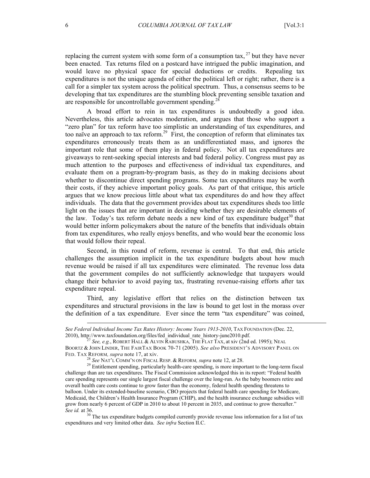replacing the current system with some form of a consumption tax,  $^{27}$  but they have never been enacted. Tax returns filed on a postcard have intrigued the public imagination, and would leave no physical space for special deductions or credits. Repealing tax expenditures is not the unique agenda of either the political left or right; rather, there is a call for a simpler tax system across the political spectrum. Thus, a consensus seems to be developing that tax expenditures are the stumbling block preventing sensible taxation and are responsible for uncontrollable government spending.<sup>28</sup>

A broad effort to rein in tax expenditures is undoubtedly a good idea. Nevertheless, this article advocates moderation, and argues that those who support a "zero plan" for tax reform have too simplistic an understanding of tax expenditures, and too naïve an approach to tax reform.<sup>29</sup> First, the conception of reform that eliminates tax expenditures erroneously treats them as an undifferentiated mass, and ignores the important role that some of them play in federal policy. Not all tax expenditures are giveaways to rent-seeking special interests and bad federal policy. Congress must pay as much attention to the purposes and effectiveness of individual tax expenditures, and evaluate them on a program-by-program basis, as they do in making decisions about whether to discontinue direct spending programs. Some tax expenditures may be worth their costs, if they achieve important policy goals. As part of that critique, this article argues that we know precious little about what tax expenditures do and how they affect individuals. The data that the government provides about tax expenditures sheds too little light on the issues that are important in deciding whether they are desirable elements of the law. Today's tax reform debate needs a new kind of tax expenditure budget<sup>30</sup> that would better inform policymakers about the nature of the benefits that individuals obtain from tax expenditures, who really enjoys benefits, and who would bear the economic loss that would follow their repeal.

Second, in this round of reform, revenue is central. To that end, this article challenges the assumption implicit in the tax expenditure budgets about how much revenue would be raised if all tax expenditures were eliminated. The revenue loss data that the government compiles do not sufficiently acknowledge that taxpayers would change their behavior to avoid paying tax, frustrating revenue-raising efforts after tax expenditure repeal.

Third, any legislative effort that relies on the distinction between tax expenditures and structural provisions in the law is bound to get lost in the morass over the definition of a tax expenditure. Ever since the term "tax expenditure" was coined,

l

*See Federal Individual Income Tax Rates History: Income Years 1913-2010*, TAX FOUNDATION (Dec. 22,

<sup>&</sup>lt;sup>27</sup> See, e.g., ROBERT HALL & ALVIN RABUSHKA, THE FLAT TAX, at xiv (2nd ed. 1995); NEAL BOORTZ & JOHN LINDER, THE FAIRTAX BOOK 70-71 (2005). *See also* PRESIDENT'S ADVISORY PANEL ON FED. TAX REFORM, *supra* note 17, at xiv.<br><sup>28</sup> See NAT'L COMM'N ON FISCAL RESP. & REFORM, *supra* note 12, at 28.<br><sup>29</sup> Entitlement spending, particularly health-care spending, is more important to the long-term fiscal

challenge than are tax expenditures. The Fiscal Commission acknowledged this in its report: "Federal health care spending represents our single largest fiscal challenge over the long-run. As the baby boomers retire and overall health care costs continue to grow faster than the economy, federal health spending threatens to balloon. Under its extended-baseline scenario, CBO projects that federal health care spending for Medicare, Medicaid, the Children's Health Insurance Program (CHIP), and the health insurance exchange subsidies will grow from nearly 6 percent of GDP in 2010 to about 10 percent in 2035, and continue to grow thereafter." *See id.* at 36. <sup>30</sup> The tax expenditure budgets compiled currently provide revenue loss information for a list of tax

expenditures and very limited other data. *See infra* Section II.C.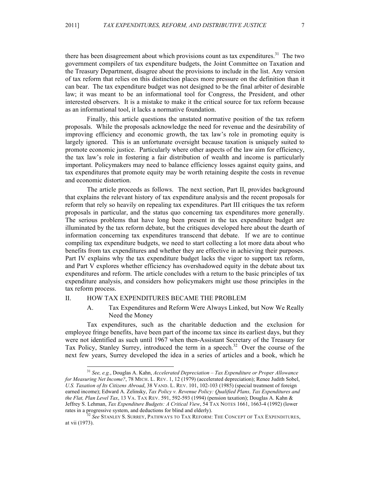there has been disagreement about which provisions count as tax expenditures.<sup>31</sup> The two government compilers of tax expenditure budgets, the Joint Committee on Taxation and the Treasury Department, disagree about the provisions to include in the list. Any version of tax reform that relies on this distinction places more pressure on the definition than it can bear. The tax expenditure budget was not designed to be the final arbiter of desirable law; it was meant to be an informational tool for Congress, the President, and other interested observers. It is a mistake to make it the critical source for tax reform because as an informational tool, it lacks a normative foundation.

Finally, this article questions the unstated normative position of the tax reform proposals. While the proposals acknowledge the need for revenue and the desirability of improving efficiency and economic growth, the tax law's role in promoting equity is largely ignored. This is an unfortunate oversight because taxation is uniquely suited to promote economic justice. Particularly where other aspects of the law aim for efficiency, the tax law's role in fostering a fair distribution of wealth and income is particularly important. Policymakers may need to balance efficiency losses against equity gains, and tax expenditures that promote equity may be worth retaining despite the costs in revenue and economic distortion.

The article proceeds as follows. The next section, Part II, provides background that explains the relevant history of tax expenditure analysis and the recent proposals for reform that rely so heavily on repealing tax expenditures. Part III critiques the tax reform proposals in particular, and the status quo concerning tax expenditures more generally. The serious problems that have long been present in the tax expenditure budget are illuminated by the tax reform debate, but the critiques developed here about the dearth of information concerning tax expenditures transcend that debate. If we are to continue compiling tax expenditure budgets, we need to start collecting a lot more data about who benefits from tax expenditures and whether they are effective in achieving their purposes. Part IV explains why the tax expenditure budget lacks the vigor to support tax reform, and Part V explores whether efficiency has overshadowed equity in the debate about tax expenditures and reform. The article concludes with a return to the basic principles of tax expenditure analysis, and considers how policymakers might use those principles in the tax reform process.

# II. HOW TAX EXPENDITURES BECAME THE PROBLEM

A. Tax Expenditures and Reform Were Always Linked, but Now We Really Need the Money

Tax expenditures, such as the charitable deduction and the exclusion for employee fringe benefits, have been part of the income tax since its earliest days, but they were not identified as such until 1967 when then-Assistant Secretary of the Treasury for Tax Policy, Stanley Surrey, introduced the term in a speech.<sup>32</sup> Over the course of the next few years, Surrey developed the idea in a series of articles and a book, which he

 <sup>31</sup> *See, e.g.*, Douglas A. Kahn, *Accelerated Depreciation – Tax Expenditure or Proper Allowance for Measuring Net Income?*, 78 MICH. L. REV. 1, 12 (1979) (accelerated depreciation); Renee Judith Sobel, *U.S. Taxation of Its Citizens Abroad*, 38 VAND. L. REV. 101, 102-103 (1985) (special treatment of foreign earned income); Edward A. Zelinsky, *Tax Policy v. Revenue Policy: Qualified Plans, Tax Expenditures and the Flat, Plan Level Tax*, 13 VA. TAX REV. 591, 592-593 (1994) (pension taxation); Douglas A. Kahn & Jeffrey S. Lehman, *Tax Expenditure Budgets: A Critical View*, 54 TAX NOTES 1661, 1663-4 (1992) (lower

<sup>&</sup>lt;sup>32</sup> See STANLEY S. SURREY, PATHWAYS TO TAX REFORM: THE CONCEPT OF TAX EXPENDITURES, at vii (1973).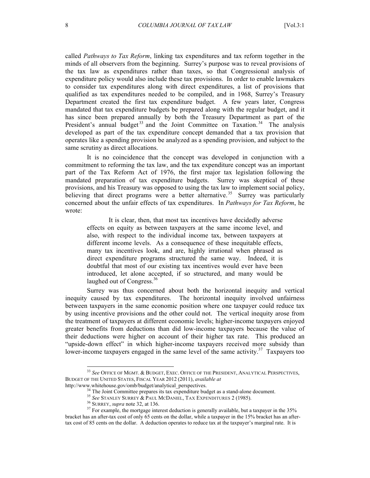called *Pathways to Tax Reform*, linking tax expenditures and tax reform together in the minds of all observers from the beginning. Surrey's purpose was to reveal provisions of the tax law as expenditures rather than taxes, so that Congressional analysis of expenditure policy would also include these tax provisions. In order to enable lawmakers to consider tax expenditures along with direct expenditures, a list of provisions that qualified as tax expenditures needed to be compiled, and in 1968, Surrey's Treasury Department created the first tax expenditure budget. A few years later, Congress mandated that tax expenditure budgets be prepared along with the regular budget, and it has since been prepared annually by both the Treasury Department as part of the President's annual budget<sup>33</sup> and the Joint Committee on Taxation.<sup>34</sup> The analysis developed as part of the tax expenditure concept demanded that a tax provision that operates like a spending provision be analyzed as a spending provision, and subject to the same scrutiny as direct allocations.

It is no coincidence that the concept was developed in conjunction with a commitment to reforming the tax law, and the tax expenditure concept was an important part of the Tax Reform Act of 1976, the first major tax legislation following the mandated preparation of tax expenditure budgets. Surrey was skeptical of these provisions, and his Treasury was opposed to using the tax law to implement social policy, believing that direct programs were a better alternative.<sup>35</sup> Surrey was particularly concerned about the unfair effects of tax expenditures. In *Pathways for Tax Reform*, he wrote:

It is clear, then, that most tax incentives have decidedly adverse effects on equity as between taxpayers at the same income level, and also, with respect to the individual income tax, between taxpayers at different income levels. As a consequence of these inequitable effects, many tax incentives look, and are, highly irrational when phrased as direct expenditure programs structured the same way. Indeed, it is doubtful that most of our existing tax incentives would ever have been introduced, let alone accepted, if so structured, and many would be laughed out of Congress.<sup>36</sup>

Surrey was thus concerned about both the horizontal inequity and vertical inequity caused by tax expenditures. The horizontal inequity involved unfairness between taxpayers in the same economic position where one taxpayer could reduce tax by using incentive provisions and the other could not. The vertical inequity arose from the treatment of taxpayers at different economic levels; higher-income taxpayers enjoyed greater benefits from deductions than did low-income taxpayers because the value of their deductions were higher on account of their higher tax rate. This produced an "upside-down effect" in which higher-income taxpayers received more subsidy than lower-income taxpayers engaged in the same level of the same activity.<sup>37</sup> Taxpayers too

 <sup>33</sup> *See* OFFICE OF MGMT. & BUDGET, EXEC. OFFICE OF THE PRESIDENT, ANALYTICAL PERSPECTIVES, BUDGET OF THE UNITED STATES, FISCAL YEAR 2012 (2011), *available at* 

http://www.whitehouse.gov/omb/budget/analytical\_perspectives.<br><sup>34</sup> The Joint Committee prepares its tax expenditure budget as a stand-alone document.<br><sup>35</sup> See STANLEY SURREY & PAUL MCDANIEL, TAX EXPENDITURES 2 (1985).<br><sup>36</sup> bracket has an after-tax cost of only 65 cents on the dollar, while a taxpayer in the 15% bracket has an aftertax cost of 85 cents on the dollar. A deduction operates to reduce tax at the taxpayer's marginal rate. It is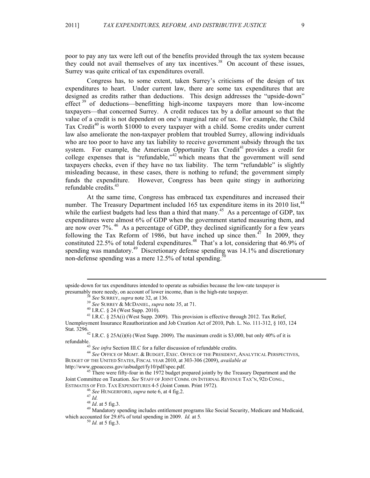poor to pay any tax were left out of the benefits provided through the tax system because they could not avail themselves of any tax incentives.<sup>38</sup> On account of these issues, Surrey was quite critical of tax expenditures overall.

Congress has, to some extent, taken Surrey's criticisms of the design of tax expenditures to heart. Under current law, there are some tax expenditures that are designed as credits rather than deductions. This design addresses the "upside-down" effect<sup>39</sup> of deductions—benefitting high-income taxpayers more than low-income taxpayers—that concerned Surrey. A credit reduces tax by a dollar amount so that the value of a credit is not dependent on one's marginal rate of tax. For example, the Child Tax Credit<sup>40</sup> is worth \$1000 to every taxpayer with a child. Some credits under current law also ameliorate the non-taxpayer problem that troubled Surrey, allowing individuals who are too poor to have any tax liability to receive government subsidy through the tax system. For example, the American Opportunity Tax Credit<sup>41</sup> provides a credit for college expenses that is "refundable," $42$  which means that the government will send taxpayers checks, even if they have no tax liability. The term "refundable" is slightly misleading because, in these cases, there is nothing to refund; the government simply funds the expenditure. However, Congress has been quite stingy in authorizing refundable credits. 43

At the same time, Congress has embraced tax expenditures and increased their number. The Treasury Department included 165 tax expenditure items in its 2010 list,<sup>44</sup> while the earliest budgets had less than a third that many.<sup>45</sup> As a percentage of GDP, tax expenditures were almost 6% of GDP when the government started measuring them, and are now over 7%. 46 As a percentage of GDP, they declined significantly for a few years following the Tax Reform of 1986, but have inched up since then.<sup> $47$ </sup> In 2009, they constituted 22.5% of total federal expenditures.<sup>48</sup> That's a lot, considering that 46.9% of spending was mandatory.<sup>49</sup> Discretionary defense spending was 14.1% and discretionary non-defense spending was a mere 12.5% of total spending.<sup>50</sup>

Unemployment Insurance Reauthorization and Job Creation Act of 2010, Pub. L. No. 111-312, § 103, 124

<sup>42</sup> I.R.C. § 25A(i)(6) (West Supp. 2009). The maximum credit is \$3,000, but only 40% of it is refundable.43 *See infra* Section III.C for a fuller discussion of refundable credits. <sup>44</sup> *See* OFFICE OF MGMT. & BUDGET, EXEC. OFFICE OF THE PRESIDENT, ANALYTICAL PERSPECTIVES,

BUDGET OF THE UNITED STATES, FISCAL YEAR 2010, at 303-306 (2009), *available at*

http://www.gpoaccess.gov/usbudget/fy10/pdf/spec.pdf.<br><sup>45</sup> There were fifty-four in the 1972 budget prepared jointly by the Treasury Department and the Joint Committee on Taxation. *See* STAFF OF JOINT COMM. ON INTERNAL REVENUE TAX'N, 92D CONG.,

ESTIMATES OF FED. TAX EXPENDITURES 4-5 (Joint Comm. Print 1972).<br>
<sup>46</sup> See HUNGERFORD, *supra* note 6, at 4 fig.2.<br>
<sup>47</sup> Id. at 5 fig.3.<br>
<sup>49</sup> Mandatory spending includes entitlement programs like Social Security, Medicare which accounted for 29.6% of total spending in 2009. *Id.* at 5*.* 50 *Id.* at 5 fig.3.

upside-down for tax expenditures intended to operate as subsidies because the low-rate taxpayer is presumably more needy, on account of lower income, than is the high-rate taxpayer.<br>
<sup>38</sup> See SURREY, *supra* note 32, at 136.<br>
<sup>39</sup> See SURREY & McDANIEL, *supra* note 35, at 71.<br>
<sup>40</sup> I.R.C. § 24 (West Supp. 2010).<br>
<sup>41</sup>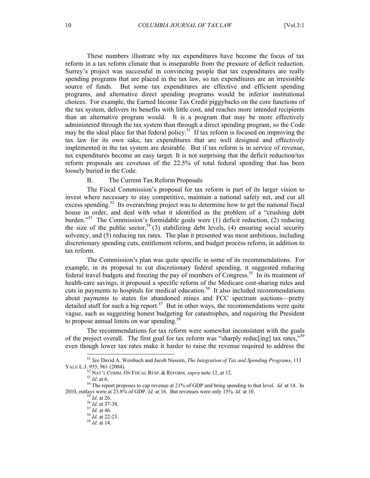These numbers illustrate why tax expenditures have become the focus of tax reform in a tax reform climate that is inseparable from the pressure of deficit reduction. Surrey's project was successful in convincing people that tax expenditures are really spending programs that are placed in the tax law, so tax expenditures are an irresistible source of funds. But some tax expenditures are effective and efficient spending programs, and alternative direct spending programs would be inferior institutional choices. For example, the Earned Income Tax Credit piggybacks on the core functions of the tax system, delivers its benefits with little cost, and reaches more intended recipients than an alternative program would. It is a program that may be more effectively administered through the tax system than through a direct spending program, so the Code may be the ideal place for that federal policy.<sup>51</sup> If tax reform is focused on improving the tax law for its own sake, tax expenditures that are well designed and effectively implemented in the tax system are desirable. But if tax reform is in service of revenue, tax expenditures become an easy target. It is not surprising that the deficit reduction/tax reform proposals are covetous of the 22.5% of total federal spending that has been loosely buried in the Code.

#### B. The Current Tax Reform Proposals

The Fiscal Commission's proposal for tax reform is part of its larger vision to invest where necessary to stay competitive, maintain a national safety net, and cut all excess spending.<sup>52</sup> Its overarching project was to determine how to get the national fiscal house in order, and deal with what it identified as the problem of a "crushing debt burden."53 The Commission's formidable goals were (1) deficit reduction, (2) reducing the size of the public sector,  $5^4$  (3) stabilizing debt levels, (4) ensuring social security solvency, and  $(5)$  reducing tax rates. The plan it presented was most ambitious, including discretionary spending cuts, entitlement reform, and budget process reform, in addition to tax reform.

The Commission's plan was quite specific in some of its recommendations. For example, in its proposal to cut discretionary federal spending, it suggested reducing federal travel budgets and freezing the pay of members of Congress.<sup>55</sup> In its treatment of health-care savings, it proposed a specific reform of the Medicare cost-sharing rules and cuts in payments to hospitals for medical education.<sup>56</sup> It also included recommendations about payments to states for abandoned mines and FCC spectrum auctions—pretty detailed stuff for such a big report.<sup>57</sup> But in other ways, the recommendations were quite vague, such as suggesting honest budgeting for catastrophes, and requiring the President to propose annual limits on war spending. $58$ 

The recommendations for tax reform were somewhat inconsistent with the goals of the project overall. The first goal for tax reform was "sharply reduc[ing] tax rates,"<sup>59</sup> even though lower tax rates make it harder to raise the revenue required to address the

 <sup>51</sup> *See* David A. Weisbach and Jacob Nussim, *The Integration of Tax and Spending Programs*, 113 YALE L.J. 955, 961 (2004).<br><sup>52</sup> NAT'L COMM. ON FISCAL RESP. & REFORM, *supra* note 12, at 12.

 $53$  *Id.* at 6.  $54$  The report proposes to cap revenue at 21% of GDP and bring spending to that level. *Id.* at 14. In 2010, outlays were at 23.8% of GDP. *Id.* at 16. But revenues were only 15%. *Id.* at 10.  $^{55}$  *Id.* at 26.  $^{56}$  *Id.* at 37-38.  $^{57}$  *Id.* at 46.  $^{58}$  *Id.* at 22-23.  $^{59}$  *Id.* at 14.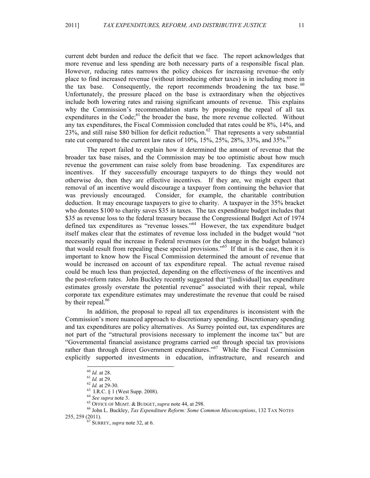current debt burden and reduce the deficit that we face. The report acknowledges that more revenue and less spending are both necessary parts of a responsible fiscal plan. However, reducing rates narrows the policy choices for increasing revenue–the only place to find increased revenue (without introducing other taxes) is in including more in the tax base. Consequently, the report recommends broadening the tax base.<sup>60</sup> Unfortunately, the pressure placed on the base is extraordinary when the objectives include both lowering rates and raising significant amounts of revenue. This explains why the Commission's recommendation starts by proposing the repeal of all tax expenditures in the Code;<sup>61</sup> the broader the base, the more revenue collected. Without any tax expenditures, the Fiscal Commission concluded that rates could be 8%, 14%, and  $23\%$ , and still raise \$80 billion for deficit reduction.<sup>62</sup> That represents a very substantial rate cut compared to the current law rates of 10%, 15%, 25%, 28%, 33%, and 35%.<sup>63</sup>

The report failed to explain how it determined the amount of revenue that the broader tax base raises, and the Commission may be too optimistic about how much revenue the government can raise solely from base broadening. Tax expenditures are incentives. If they successfully encourage taxpayers to do things they would not otherwise do, then they are effective incentives. If they are, we might expect that removal of an incentive would discourage a taxpayer from continuing the behavior that was previously encouraged. Consider, for example, the charitable contribution deduction. It may encourage taxpayers to give to charity. A taxpayer in the 35% bracket who donates \$100 to charity saves \$35 in taxes. The tax expenditure budget includes that \$35 as revenue loss to the federal treasury because the Congressional Budget Act of 1974 defined tax expenditures as "revenue losses." 64 However, the tax expenditure budget itself makes clear that the estimates of revenue loss included in the budget would "not necessarily equal the increase in Federal revenues (or the change in the budget balance) that would result from repealing these special provisions." 65 If that is the case, then it is important to know how the Fiscal Commission determined the amount of revenue that would be increased on account of tax expenditure repeal. The actual revenue raised could be much less than projected, depending on the effectiveness of the incentives and the post-reform rates. John Buckley recently suggested that "[individual] tax expenditure estimates grossly overstate the potential revenue" associated with their repeal, while corporate tax expenditure estimates may underestimate the revenue that could be raised by their repeal.<sup>66</sup>

In addition, the proposal to repeal all tax expenditures is inconsistent with the Commission's more nuanced approach to discretionary spending. Discretionary spending and tax expenditures are policy alternatives. As Surrey pointed out, tax expenditures are not part of the "structural provisions necessary to implement the income tax" but are "Governmental financial assistance programs carried out through special tax provisions rather than through direct Government expenditures."<sup>67</sup> While the Fiscal Commission explicitly supported investments in education, infrastructure, and research and

<sup>&</sup>lt;sup>60</sup> *Id.* at 28.<br>
<sup>61</sup> *Id.* at 29-30.<br>
<sup>62</sup> *Id.* at 29-30.<br>
<sup>63</sup> See supra note 3.<br>
<sup>64</sup> See supra note 3.<br>
<sup>65</sup> OFFICE OF MGMT. & BUDGET, *supra* note 44, at 298.<br>
<sup>65</sup> John L. Buckley, *Tax Expenditure Reform: Some C* 255, 259 (2011). <sup>67</sup> SURREY, *supra* note 32, at 6.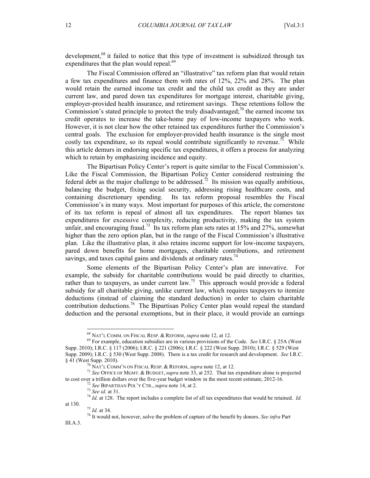development,<sup>68</sup> it failed to notice that this type of investment is subsidized through tax expenditures that the plan would repeal.<sup>69</sup>

The Fiscal Commission offered an "illustrative" tax reform plan that would retain a few tax expenditures and finance them with rates of 12%, 22% and 28%. The plan would retain the earned income tax credit and the child tax credit as they are under current law, and pared down tax expenditures for mortgage interest, charitable giving, employer-provided health insurance, and retirement savings. These retentions follow the Commission's stated principle to protect the truly disadvantaged;<sup>70</sup> the earned income tax credit operates to increase the take-home pay of low-income taxpayers who work. However, it is not clear how the other retained tax expenditures further the Commission's central goals. The exclusion for employer-provided health insurance is the single most costly tax expenditure, so its repeal would contribute significantly to revenue.<sup>71</sup> While this article demurs in endorsing specific tax expenditures, it offers a process for analyzing which to retain by emphasizing incidence and equity.

The Bipartisan Policy Center's report is quite similar to the Fiscal Commission's. Like the Fiscal Commission, the Bipartisan Policy Center considered restraining the federal debt as the major challenge to be addressed.<sup>72</sup> Its mission was equally ambitious, balancing the budget, fixing social security, addressing rising healthcare costs, and containing discretionary spending. Its tax reform proposal resembles the Fiscal Commission's in many ways. Most important for purposes of this article, the cornerstone of its tax reform is repeal of almost all tax expenditures. The report blames tax expenditures for excessive complexity, reducing productivity, making the tax system unfair, and encouraging fraud.<sup>73</sup> Its tax reform plan sets rates at 15% and 27%, somewhat higher than the zero option plan, but in the range of the Fiscal Commission's illustrative plan. Like the illustrative plan, it also retains income support for low-income taxpayers, pared down benefits for home mortgages, charitable contributions, and retirement savings, and taxes capital gains and dividends at ordinary rates.<sup>74</sup>

Some elements of the Bipartisan Policy Center's plan are innovative. For example, the subsidy for charitable contributions would be paid directly to charities, rather than to taxpayers, as under current law.<sup>75</sup> This approach would provide a federal subsidy for all charitable giving, unlike current law, which requires taxpayers to itemize deductions (instead of claiming the standard deduction) in order to claim charitable contribution deductions. 76 The Bipartisan Policy Center plan would repeal the standard deduction and the personal exemptions, but in their place, it would provide an earnings

III.A.3.

<sup>68</sup> NAT'L COMM. ON FISCAL RESP. & REFORM, *supra* note 12, at 12. 69 For example, education subsidies are in various provisions of the Code. *See* I.R.C. § 25A (West Supp. 2010); I.R.C. § 117 (2006); I.R.C. § 221 (2006); I.R.C. § 222 (West Supp. 2010); I.R.C. § 529 (West Supp. 2009); I.R.C. § 530 (West Supp. 2008). There is a tax credit for research and development. *See* I.R.C. § 41 (West Supp. 2010). <sup>70</sup> NAT'L COMM'N ON FISCAL RESP. & REFORM, *supra* note 12, at 12. <sup>71</sup> *See* OFFICE OF MGMT. & BUDGET,*supra* note 33, at 252. That tax expenditure alone is projected

to cost over a trillion dollars over the five-year budget window in the most recent estimate, 2012-16.<br>
<sup>72</sup> See BIPARTISAN POL'Y CTR., *supra* note 14, at 2.<br>
<sup>73</sup> See id. at 31.<br>
<sup>74</sup> Id. at 128. The report includes a c

at 130. <sup>75</sup> *Id.* at 34. 76 It would not, however, solve the problem of capture of the benefit by donors. *See infra* Part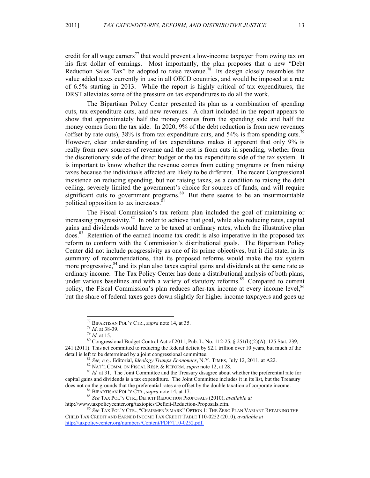credit for all wage earners<sup>77</sup> that would prevent a low-income taxpayer from owing tax on his first dollar of earnings. Most importantly, the plan proposes that a new "Debt Reduction Sales Tax" be adopted to raise revenue.<sup>78</sup> Its design closely resembles the value added taxes currently in use in all OECD countries, and would be imposed at a rate of 6.5% starting in 2013. While the report is highly critical of tax expenditures, the DRST alleviates some of the pressure on tax expenditures to do all the work.

The Bipartisan Policy Center presented its plan as a combination of spending cuts, tax expenditure cuts, and new revenues. A chart included in the report appears to show that approximately half the money comes from the spending side and half the money comes from the tax side. In 2020, 9% of the debt reduction is from new revenues (offset by rate cuts), 38% is from tax expenditure cuts, and 54% is from spending cuts.<sup>79</sup> However, clear understanding of tax expenditures makes it apparent that only 9% is really from new sources of revenue and the rest is from cuts in spending, whether from the discretionary side of the direct budget or the tax expenditure side of the tax system. It is important to know whether the revenue comes from cutting programs or from raising taxes because the individuals affected are likely to be different. The recent Congressional insistence on reducing spending, but not raising taxes, as a condition to raising the debt ceiling, severely limited the government's choice for sources of funds, and will require significant cuts to government programs.<sup>80</sup> But there seems to be an insurmountable political opposition to tax increases. $81$ 

The Fiscal Commission's tax reform plan included the goal of maintaining or increasing progressivity.<sup>82</sup> In order to achieve that goal, while also reducing rates, capital gains and dividends would have to be taxed at ordinary rates, which the illustrative plan does.83 Retention of the earned income tax credit is also imperative in the proposed tax reform to conform with the Commission's distributional goals. The Bipartisan Policy Center did not include progressivity as one of its prime objectives, but it did state, in its summary of recommendations, that its proposed reforms would make the tax system more progressive,<sup>84</sup> and its plan also taxes capital gains and dividends at the same rate as ordinary income. The Tax Policy Center has done a distributional analysis of both plans, under various baselines and with a variety of statutory reforms.<sup>85</sup> Compared to current policy, the Fiscal Commission's plan reduces after-tax income at every income level,<sup>86</sup> but the share of federal taxes goes down slightly for higher income taxpayers and goes up

<sup>&</sup>lt;sup>77</sup> BIPARTISAN POL'Y CTR., *supra* note 14, at 35.<br><sup>78</sup> *Id.* at 38-39.<br><sup>79</sup> *Id.* at 15.<br><sup>80</sup> Congressional Budget Control Act of 2011, Pub. L. No. 112-25, § 251(b)(2)(A), 125 Stat. 239, 241 (2011). This act committed to reducing the federal deficit by \$2.1 trillion over 10 years, but much of the detail is left to be determined by a joint congressional committee.<br>
<sup>81</sup> See, e.g., Editorial, *Ideology Trumps Economics*, N.Y. TIMES, July 12, 2011, at A22.<br>
<sup>82</sup> NAT'L COMM. ON FISCAL RESP. & REFORM, *supra* note 12,

capital gains and dividends is a tax expenditure. The Joint Committee includes it in its list, but the Treasury does not on the grounds that the preferential rates are offset by the double taxation of corporate income.

<sup>&</sup>lt;sup>84</sup> BIPARTISAN POL'Y CTR., *supra* note 14, at 17.<br><sup>85</sup> *See* TAX POL'Y CTR., DEFICIT REDUCTION PROPOSALS (2010), *available at* http://www.taxpolicycenter.org/taxtopics/Deficit-Reduction-Proposals.cfm.

 $^{86}$  See Tax Pol'y Ctr., "Chairmen's mark" Option 1: The Zero Plan Variant Retaining the CHILD TAX CREDIT AND EARNED INCOME TAX CREDIT TABLE T10-0252 (2010), *available at* http://taxpolicycenter.org/numbers/Content/PDF/T10-0252.pdf.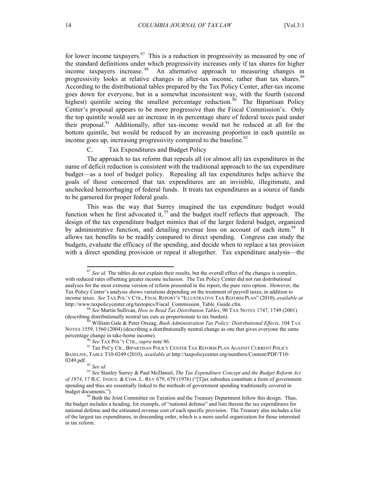for lower income taxpayers. $87$  This is a reduction in progressivity as measured by one of the standard definitions under which progressivity increases only if tax shares for higher income taxpayers increase. 88 An alternative approach to measuring changes in progressivity looks at relative changes in after-tax income, rather than tax shares.<sup>89</sup> According to the distributional tables prepared by the Tax Policy Center, after-tax income goes down for everyone, but in a somewhat inconsistent way, with the fourth (second highest) quintile seeing the smallest percentage reduction.<sup>50</sup> The Bipartisan Policy Center's proposal appears to be more progressive than the Fiscal Commission's. Only the top quintile would see an increase in its percentage share of federal taxes paid under their proposal.<sup>91</sup> Additionally, after tax-income would not be reduced at all for the bottom quintile, but would be reduced by an increasing proportion in each quintile as income goes up, increasing progressivity compared to the baseline.<sup>92</sup>

# C. Tax Expenditures and Budget Policy

The approach to tax reform that repeals all (or almost all) tax expenditures in the name of deficit reduction is consistent with the traditional approach to the tax expenditure budget—as a tool of budget policy. Repealing all tax expenditures helps achieve the goals of those concerned that tax expenditures are an invisible, illegitimate, and unchecked hemorrhaging of federal funds. It treats tax expenditures as a source of funds to be garnered for proper federal goals.

This was the way that Surrey imagined the tax expenditure budget would function when he first advocated it, <sup>93</sup> and the budget itself reflects that approach. The design of the tax expenditure budget mimics that of the larger federal budget, organized by administrative function, and detailing revenue loss on account of each item.<sup>94</sup> It allows tax benefits to be readily compared to direct spending. Congress can study the budgets, evaluate the efficacy of the spending, and decide when to replace a tax provision with a direct spending provision or repeal it altogether. Tax expenditure analysis—the

<sup>&</sup>lt;sup>87</sup> See id. The tables do not explain their results, but the overall effect of the changes is complex, with reduced rates offsetting greater income inclusion. The Tax Policy Center did not run distributional analyses for the most extreme version of reform presented in the report, the pure zero option. However, the Tax Policy Center's analysis shows variations depending on the treatment of payroll taxes, in addition to income taxes. *See* TAX POL'Y CTR., FINAL REPORT'S "ILLUSTRATIVE TAX REFORM PLAN" (2010), *available at*  http://www.taxpolicycenter.org/taxtopics/Fiscal\_Commission\_Table\_Guide.cfm. <sup>88</sup> *See* Martin Sullivan, *How to Read Tax Distribution Tables*, 90 TAX NOTES 1747, 1749 (2001)

<sup>(</sup>describing distributionally neutral tax cuts as proportionate to tax burden). 89 William Gale & Peter Orszag, *Bush Administration Tax Policy: Distributional Effects,* 104 TAX

NOTES 1559, 1560 (2004) (describing a distributionally neutral change as one that gives everyone the same percentage change in take-home income).

<sup>&</sup>lt;sup>90</sup> *See* Tax Pol'y Ctr., *supra* note 86. <sup>91</sup> Tax Policy Center Tax Reform Plan Against Current Policy <sup>91</sup> Tax Pol'y Ctr., BIPARTISAN POLICY CENTER TAX REFORM PLAN AGAINST CURRENT POLICY BASELINE, TABLE T10-0249 (2010), *available at* http://taxpolicycenter.org/numbers/Content/PDF/T10-0249.pdf.

<sup>&</sup>lt;sup>93</sup> See Stanley Surrey & Paul McDaniel. *The Tax Expenditure Concept and the Budget Reform Act of 1974*, 17 B.C. INDUS. & COM. L. REV 679, 679 (1976) ("[T]ax subsidies constitute a form of government spending and thus are essentially linked to the methods of government spending traditionally covered in budget documents."). <sup>94</sup> Both the Joint Committee on Taxation and the Treasury Department follow this design. Thus,

the budget includes a heading, for example, of "national defense" and lists therein the tax expenditures for national defense and the estimated revenue cost of each specific provision. The Treasury also includes a list of the largest tax expenditures, in descending order, which is a more useful organization for those interested in tax reform.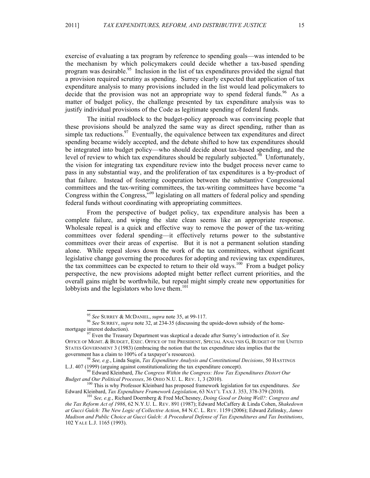exercise of evaluating a tax program by reference to spending goals—was intended to be the mechanism by which policymakers could decide whether a tax-based spending program was desirable.<sup>95</sup> Inclusion in the list of tax expenditures provided the signal that a provision required scrutiny as spending. Surrey clearly expected that application of tax expenditure analysis to many provisions included in the list would lead policymakers to decide that the provision was not an appropriate way to spend federal funds.<sup>96</sup> As a matter of budget policy, the challenge presented by tax expenditure analysis was to justify individual provisions of the Code as legitimate spending of federal funds.

The initial roadblock to the budget-policy approach was convincing people that these provisions should be analyzed the same way as direct spending, rather than as simple tax reductions.<sup>97</sup> Eventually, the equivalence between tax expenditures and direct spending became widely accepted, and the debate shifted to how tax expenditures should be integrated into budget policy—who should decide about tax-based spending, and the level of review to which tax expenditures should be regularly subjected.<sup>98</sup> Unfortunately, the vision for integrating tax expenditure review into the budget process never came to pass in any substantial way, and the proliferation of tax expenditures is a by-product of that failure. Instead of fostering cooperation between the substantive Congressional committees and the tax-writing committees, the tax-writing committees have become "a Congress within the Congress,<sup>799</sup> legislating on all matters of federal policy and spending federal funds without coordinating with appropriating committees.

From the perspective of budget policy, tax expenditure analysis has been a complete failure, and wiping the slate clean seems like an appropriate response. Wholesale repeal is a quick and effective way to remove the power of the tax-writing committees over federal spending—it effectively returns power to the substantive committees over their areas of expertise. But it is not a permanent solution standing alone. While repeal slows down the work of the tax committees, without significant legislative change governing the procedures for adopting and reviewing tax expenditures, the tax committees can be expected to return to their old ways.<sup>100</sup> From a budget policy perspective, the new provisions adopted might better reflect current priorities, and the overall gains might be worthwhile, but repeal might simply create new opportunities for lobbyists and the legislators who love them.<sup>101</sup>

<sup>&</sup>lt;sup>95</sup> See SURREY & MCDANIEL, *supra* note 35, at 99-117.<br><sup>96</sup> See SURREY, *supra* note 32, at 234-35 (discussing the upside-down subsidy of the home-<br>mortgage interest deduction).

<sup>&</sup>lt;sup>97</sup> Even the Treasury Department was skeptical a decade after Surrey's introduction of it. *See* OFFICE OF MGMT. & BUDGET, EXEC. OFFICE OF THE PRESIDENT, SPECIAL ANALYSIS G, BUDGET OF THE UNITED STATES GOVERNMENT 3 (1983) (embracing the notion that the tax expenditure idea implies that the government has a claim to 100% of a taxpayer's resources). <sup>98</sup> *See, e.g.*, Linda Sugin, *Tax Expenditure Analysis and Constitutional Decisions*, 50 HASTINGS

L.J. 407 (1999) (arguing against constitutionalizing the tax expenditure concept).<br><sup>99</sup> Edward Kleinbard, *The Congress Within the Congress: How Tax Expenditures Distort Our*<br>*Budget and Our Political Processes*, 36 OHIO N

<sup>&</sup>lt;sup>100</sup> This is why Professor Kleinbard has proposed framework legislation for tax expenditures. *See* Edward Kleinbard, *Tax Expenditure Framework Legislation*, 63 NAT'L TAX J. 353, 378-379 (2010). <sup>101</sup> *See, e.g.*, Richard Doernberg & Fred McChesney, *Doing Good or Doing Well?: Congress and* 

*the Tax Reform Act of 1986*, 62 N.Y.U. L. REV. 891 (1987); Edward McCaffery & Linda Cohen, *Shakedown at Gucci Gulch: The New Logic of Collective Action*, 84 N.C. L. REV. 1159 (2006); Edward Zelinsky, *James Madison and Public Choice at Gucci Gulch: A Procedural Defense of Tax Expenditures and Tax Institutions*, 102 YALE L.J. 1165 (1993).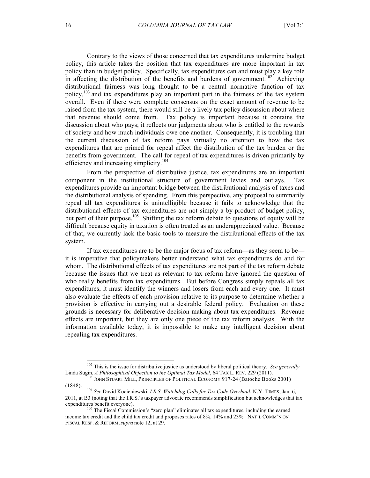Contrary to the views of those concerned that tax expenditures undermine budget policy, this article takes the position that tax expenditures are more important in tax policy than in budget policy. Specifically, tax expenditures can and must play a key role in affecting the distribution of the benefits and burdens of government.<sup>102</sup> Achieving distributional fairness was long thought to be a central normative function of tax policy, 103 and tax expenditures play an important part in the fairness of the tax system overall. Even if there were complete consensus on the exact amount of revenue to be raised from the tax system, there would still be a lively tax policy discussion about where that revenue should come from. Tax policy is important because it contains the discussion about who pays; it reflects our judgments about who is entitled to the rewards of society and how much individuals owe one another. Consequently, it is troubling that the current discussion of tax reform pays virtually no attention to how the tax expenditures that are primed for repeal affect the distribution of the tax burden or the benefits from government. The call for repeal of tax expenditures is driven primarily by efficiency and increasing simplicity.<sup>104</sup>

From the perspective of distributive justice, tax expenditures are an important component in the institutional structure of government levies and outlays. Tax expenditures provide an important bridge between the distributional analysis of taxes and the distributional analysis of spending. From this perspective, any proposal to summarily repeal all tax expenditures is unintelligible because it fails to acknowledge that the distributional effects of tax expenditures are not simply a by-product of budget policy, but part of their purpose.<sup>105</sup> Shifting the tax reform debate to questions of equity will be difficult because equity in taxation is often treated as an underappreciated value. Because of that, we currently lack the basic tools to measure the distributional effects of the tax system.

If tax expenditures are to be the major focus of tax reform—as they seem to be it is imperative that policymakers better understand what tax expenditures do and for whom. The distributional effects of tax expenditures are not part of the tax reform debate because the issues that we treat as relevant to tax reform have ignored the question of who really benefits from tax expenditures. But before Congress simply repeals all tax expenditures, it must identify the winners and losers from each and every one. It must also evaluate the effects of each provision relative to its purpose to determine whether a provision is effective in carrying out a desirable federal policy. Evaluation on these grounds is necessary for deliberative decision making about tax expenditures. Revenue effects are important, but they are only one piece of the tax reform analysis. With the information available today, it is impossible to make any intelligent decision about repealing tax expenditures.

 <sup>102</sup> This is the issue for distributive justice as understood by liberal political theory. *See generally*

Linda Sugin, *A Philosophical Objection to the Optimal Tax Model*, 64 TAX L. REV. 229 (2011).<br><sup>103</sup> JOHN STUART MILL, PRINCIPLES OF POLITICAL ECONOMY 917-24 (Batoche Books 2001)<br>(1848).

<sup>&</sup>lt;sup>104</sup> See David Kocieniewski, *I.R.S. Watchdog Calls for Tax Code Overhaul*, N.Y. TIMES, Jan. 6, 2011, at B3 (noting that the I.R.S.'s taxpayer advocate recommends simplification but acknowledges that tax expenditures benefit everyone).<br><sup>105</sup> The Fiscal Commission's "zero plan" eliminates all tax expenditures, including the earned

income tax credit and the child tax credit and proposes rates of 8%, 14% and 23%. NAT'L COMM'N ON FISCAL RESP. & REFORM,*supra* note 12, at 29.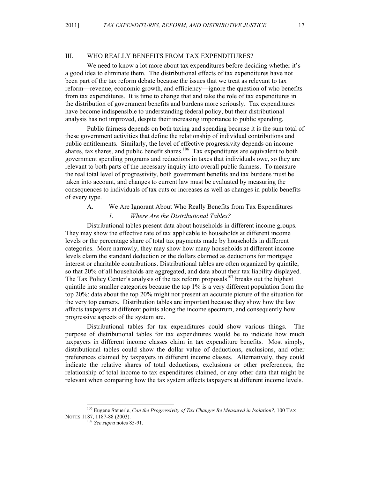# III. WHO REALLY BENEFITS FROM TAX EXPENDITURES?

We need to know a lot more about tax expenditures before deciding whether it's a good idea to eliminate them. The distributional effects of tax expenditures have not been part of the tax reform debate because the issues that we treat as relevant to tax reform—revenue, economic growth, and efficiency—ignore the question of who benefits from tax expenditures. It is time to change that and take the role of tax expenditures in the distribution of government benefits and burdens more seriously. Tax expenditures have become indispensible to understanding federal policy, but their distributional analysis has not improved, despite their increasing importance to public spending.

Public fairness depends on both taxing and spending because it is the sum total of these government activities that define the relationship of individual contributions and public entitlements. Similarly, the level of effective progressivity depends on income shares, tax shares, and public benefit shares.<sup>106</sup> Tax expenditures are equivalent to both government spending programs and reductions in taxes that individuals owe, so they are relevant to both parts of the necessary inquiry into overall public fairness. To measure the real total level of progressivity, both government benefits and tax burdens must be taken into account, and changes to current law must be evaluated by measuring the consequences to individuals of tax cuts or increases as well as changes in public benefits of every type.

A. We Are Ignorant About Who Really Benefits from Tax Expenditures

#### *1. Where Are the Distributional Tables?*

Distributional tables present data about households in different income groups. They may show the effective rate of tax applicable to households at different income levels or the percentage share of total tax payments made by households in different categories. More narrowly, they may show how many households at different income levels claim the standard deduction or the dollars claimed as deductions for mortgage interest or charitable contributions. Distributional tables are often organized by quintile, so that 20% of all households are aggregated, and data about their tax liability displayed. The Tax Policy Center's analysis of the tax reform proposals<sup>107</sup> breaks out the highest quintile into smaller categories because the top  $1\%$  is a very different population from the top 20%; data about the top 20% might not present an accurate picture of the situation for the very top earners. Distribution tables are important because they show how the law affects taxpayers at different points along the income spectrum, and consequently how progressive aspects of the system are.

Distributional tables for tax expenditures could show various things. The purpose of distributional tables for tax expenditures would be to indicate how much taxpayers in different income classes claim in tax expenditure benefits. Most simply, distributional tables could show the dollar value of deductions, exclusions, and other preferences claimed by taxpayers in different income classes. Alternatively, they could indicate the relative shares of total deductions, exclusions or other preferences, the relationship of total income to tax expenditures claimed, or any other data that might be relevant when comparing how the tax system affects taxpayers at different income levels.

 <sup>106</sup> Eugene Steuerle, *Can the Progressivity of Tax Changes Be Measured in Isolation?*, 100 TAX NOTES 1187, 1187-88 (2003). <sup>107</sup> *See supra* notes 85-91.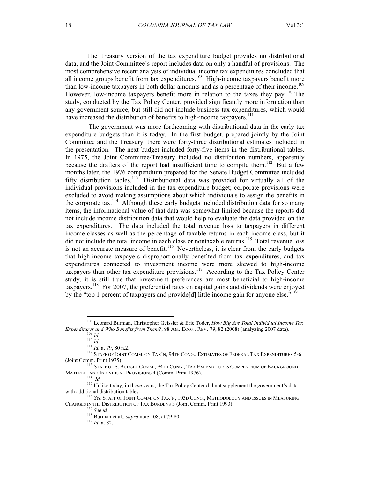The Treasury version of the tax expenditure budget provides no distributional data, and the Joint Committee's report includes data on only a handful of provisions. The most comprehensive recent analysis of individual income tax expenditures concluded that all income groups benefit from tax expenditures.<sup>108</sup> High-income taxpayers benefit more than low-income taxpayers in both dollar amounts and as a percentage of their income.<sup>109</sup> However, low-income taxpayers benefit more in relation to the taxes they pay.<sup>110</sup> The study, conducted by the Tax Policy Center, provided significantly more information than any government source, but still did not include business tax expenditures, which would have increased the distribution of benefits to high-income taxpayers.<sup>111</sup>

 The government was more forthcoming with distributional data in the early tax expenditure budgets than it is today. In the first budget, prepared jointly by the Joint Committee and the Treasury, there were forty-three distributional estimates included in the presentation. The next budget included forty-five items in the distributional tables. In 1975, the Joint Committee/Treasury included no distribution numbers, apparently because the drafters of the report had insufficient time to compile them.<sup>112</sup> But a few months later, the 1976 compendium prepared for the Senate Budget Committee included fifty distribution tables.<sup>113</sup> Distributional data was provided for virtually all of the individual provisions included in the tax expenditure budget; corporate provisions were excluded to avoid making assumptions about which individuals to assign the benefits in the corporate tax.<sup>114</sup> Although these early budgets included distribution data for so many items, the informational value of that data was somewhat limited because the reports did not include income distribution data that would help to evaluate the data provided on the tax expenditures. The data included the total revenue loss to taxpayers in different income classes as well as the percentage of taxable returns in each income class, but it did not include the total income in each class or nontaxable returns.<sup>115</sup> Total revenue loss is not an accurate measure of benefit.<sup>116</sup> Nevertheless, it is clear from the early budgets that high-income taxpayers disproportionally benefited from tax expenditures, and tax expenditures connected to investment income were more skewed to high-income taxpayers than other tax expenditure provisions.<sup>117</sup> According to the Tax Policy Center study, it is still true that investment preferences are most beneficial to high-income taxpayers.<sup>118</sup> For 2007, the preferential rates on capital gains and dividends were enjoyed by the "top 1 percent of taxpayers and provide<sup>[d]</sup> little income gain for anyone else."<sup>119</sup>

 <sup>108</sup> Leonard Burman, Christopher Geissler & Eric Toder, *How Big Are Total Individual Income Tax*  Expenditures and Who Benefits from Them?, 98 AM. ECON. REV. 79, 82 (2008) (analyzing 2007 data).<br>
<sup>109</sup> Id.<br>
<sup>110</sup> Id.<br>
<sup>111</sup> Id. at 79, 80 n.2.<br>
<sup>112</sup> STAFF OF JOINT COMM. ON TAX'N, 94TH CONG., ESTIMATES OF FEDERAL TAX E

<sup>(</sup>Joint Comm. Print 1975).<br>
<sup>113</sup> Staff of S. Budget Comm., 94th Cong., Tax Expenditures Compendium of Background<br>
Material and Individual Provisions 4 (Comm. Print 1976).<br>
<sup>114</sup> *Id.* 

<sup>&</sup>lt;sup>115</sup> Unlike today, in those years, the Tax Policy Center did not supplement the government's data with additional distribution tables.<br><sup>116</sup> *See* STAFF OF JOINT COMM. ON TAX'N, 103D CONG., METHODOLOGY AND ISSUES IN MEASURING

CHANGES IN THE DISTRIBUTION OF TAX BURDENS 3 (Joint Comm. Print 1993).<br><sup>117</sup> *See id.* <sup>118</sup> Burman et al., *supra* note 108, at 79-80. <sup>119</sup> *Id.* at 82.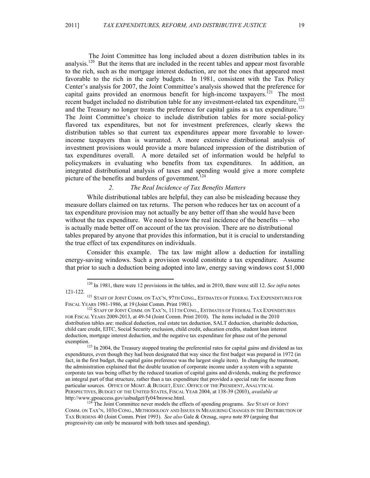The Joint Committee has long included about a dozen distribution tables in its analysis.<sup>120</sup> But the items that are included in the recent tables and appear most favorable to the rich, such as the mortgage interest deduction, are not the ones that appeared most favorable to the rich in the early budgets. In 1981, consistent with the Tax Policy Center's analysis for 2007, the Joint Committee's analysis showed that the preference for capital gains provided an enormous benefit for high-income taxpayers.<sup>[21</sup>] The most recent budget included no distribution table for any investment-related tax expenditure,<sup>122</sup> and the Treasury no longer treats the preference for capital gains as a tax expenditure.<sup>123</sup> The Joint Committee's choice to include distribution tables for more social-policy flavored tax expenditures, but not for investment preferences, clearly skews the distribution tables so that current tax expenditures appear more favorable to lowerincome taxpayers than is warranted. A more extensive distributional analysis of investment provisions would provide a more balanced impression of the distribution of tax expenditures overall. A more detailed set of information would be helpful to policymakers in evaluating who benefits from tax expenditures. In addition, an integrated distributional analysis of taxes and spending would give a more complete picture of the benefits and burdens of government.<sup>124</sup>

# *2. The Real Incidence of Tax Benefits Matters*

While distributional tables are helpful, they can also be misleading because they measure dollars claimed on tax returns. The person who reduces her tax on account of a tax expenditure provision may not actually be any better off than she would have been without the tax expenditure. We need to know the real incidence of the benefits — who is actually made better off on account of the tax provision. There are no distributional tables prepared by anyone that provides this information, but it is crucial to understanding the true effect of tax expenditures on individuals.

Consider this example. The tax law might allow a deduction for installing energy-saving windows. Such a provision would constitute a tax expenditure. Assume that prior to such a deduction being adopted into law, energy saving windows cost \$1,000

 <sup>120</sup> In 1981, there were 12 provisions in the tables, and in 2010, there were still 12. *See infra* notes

<sup>121-122.&</sup>lt;br>
<sup>121</sup> Staff of Joint Comm. on Tax'n, 97th Cong., Estimates of Federal Tax Expenditures for<br>
Fiscal Years 1981-1986, at 19 (Joint Comm. Print 1981).

 $^{122}$  Staff of Joint Comm. on Tax'n, 111th Cong., Estimates of Federal Tax Expenditures FOR FISCAL YEARS 2009-2013, at 49-54 (Joint Comm. Print 2010). The items included in the 2010 distribution tables are: medical deduction, real estate tax deduction, SALT deduction, charitable deduction, child care credit, EITC, Social Security exclusion, child credit, education credits, student loan interest deduction, mortgage interest deduction, and the negative tax expenditure for phase out of the personal exemption.<br><sup>123</sup> In 2004, the Treasury stopped treating the preferential rates for capital gains and dividend as tax

expenditures, even though they had been designated that way since the first budget was prepared in 1972 (in fact, in the first budget, the capital gains preference was the largest single item). In changing the treatment, the administration explained that the double taxation of corporate income under a system with a separate corporate tax was being offset by the reduced taxation of capital gains and dividends, making the preference an integral part of that structure, rather than a tax expenditure that provided a special rate for income from particular sources. OFFICE OF MGMT. & BUDGET, EXEC. OFFICE OF THE PRESIDENT, ANALYTICAL PERSPECTIVES, BUDGET OF THE UNITED STATES, FISCAL YEAR 2004, at 138-39 (2003), *available at*  http://www.gpoaccess.gov/usbudget/fy04/browse.html. 124 The Joint Committee never models the effects of spending programs. *See* STAFF OF JOINT

COMM. ON TAX'N, 103D CONG., METHODOLOGY AND ISSUES IN MEASURING CHANGES IN THE DISTRIBUTION OF TAX BURDENS 40 (Joint Comm. Print 1993). *See also* Gale & Orzsag, *supra* note 89 (arguing that progressivity can only be measured with both taxes and spending).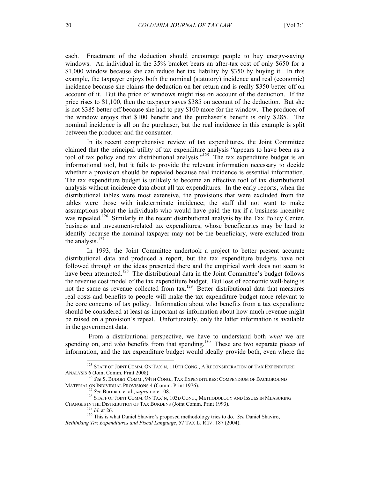each. Enactment of the deduction should encourage people to buy energy-saving windows. An individual in the 35% bracket bears an after-tax cost of only \$650 for a \$1,000 window because she can reduce her tax liability by \$350 by buying it. In this example, the taxpayer enjoys both the nominal (statutory) incidence and real (economic) incidence because she claims the deduction on her return and is really \$350 better off on account of it. But the price of windows might rise on account of the deduction. If the price rises to \$1,100, then the taxpayer saves \$385 on account of the deduction. But she is not \$385 better off because she had to pay \$100 more for the window. The producer of the window enjoys that \$100 benefit and the purchaser's benefit is only \$285. The nominal incidence is all on the purchaser, but the real incidence in this example is split between the producer and the consumer.

In its recent comprehensive review of tax expenditures, the Joint Committee claimed that the principal utility of tax expenditure analysis "appears to have been as a tool of tax policy and tax distributional analysis."<sup>125</sup> The tax expenditure budget is an informational tool, but it fails to provide the relevant information necessary to decide whether a provision should be repealed because real incidence is essential information. The tax expenditure budget is unlikely to become an effective tool of tax distributional analysis without incidence data about all tax expenditures. In the early reports, when the distributional tables were most extensive, the provisions that were excluded from the tables were those with indeterminate incidence; the staff did not want to make assumptions about the individuals who would have paid the tax if a business incentive was repealed.<sup>126</sup> Similarly in the recent distributional analysis by the Tax Policy Center, business and investment-related tax expenditures, whose beneficiaries may be hard to identify because the nominal taxpayer may not be the beneficiary, were excluded from the analysis. $127$ 

In 1993, the Joint Committee undertook a project to better present accurate distributional data and produced a report, but the tax expenditure budgets have not followed through on the ideas presented there and the empirical work does not seem to have been attempted.<sup>128</sup> The distributional data in the Joint Committee's budget follows the revenue cost model of the tax expenditure budget. But loss of economic well-being is not the same as revenue collected from  $\text{tax.}^{129}$  Better distributional data that measures real costs and benefits to people will make the tax expenditure budget more relevant to the core concerns of tax policy. Information about who benefits from a tax expenditure should be considered at least as important as information about how much revenue might be raised on a provision's repeal. Unfortunately, only the latter information is available in the government data.

 From a distributional perspective, we have to understand both *what* we are spending on, and *who* benefits from that spending.<sup>130</sup> These are two separate pieces of information, and the tax expenditure budget would ideally provide both, even where the

<sup>&</sup>lt;sup>125</sup> STAFF OF JOINT COMM. ON TAX'N, 110TH CONG., A RECONSIDERATION OF TAX EXPENDITURE ANALYSIS 6 (Joint Comm. Print 2008).

<sup>126</sup> *See* S. BUDGET COMM., 94TH CONG., TAX EXPENDITURES: COMPENDIUM OF BACKGROUND MATERIAL ON INDIVIDUAL PROVISIONS 4 (Comm. Print 1976).<br><sup>127</sup> *See* Burman, et al., *supra* note 108.<br><sup>128</sup> STAFF OF JOINT COMM. ON TAX'N, 103D CONG., METHODOLOGY AND ISSUES IN MEASURING

CHANGES IN THE DISTRIBUTION OF TAX BURDENS (Joint Comm. Print 1993).<br><sup>129</sup> *Id.* at 26. <sup>130</sup> This is what Daniel Shaviro's proposed methodology tries to do. *See* Daniel Shaviro,

*Rethinking Tax Expenditures and Fiscal Language*, 57 TAX L. REV. 187 (2004).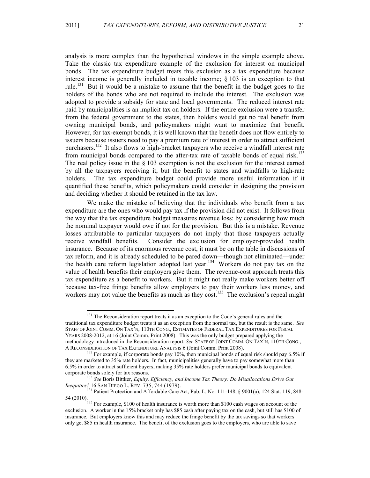analysis is more complex than the hypothetical windows in the simple example above. Take the classic tax expenditure example of the exclusion for interest on municipal bonds. The tax expenditure budget treats this exclusion as a tax expenditure because interest income is generally included in taxable income; § 103 is an exception to that rule.<sup>131</sup> But it would be a mistake to assume that the benefit in the budget goes to the holders of the bonds who are not required to include the interest. The exclusion was adopted to provide a subsidy for state and local governments. The reduced interest rate paid by municipalities is an implicit tax on holders. If the entire exclusion were a transfer from the federal government to the states, then holders would get no real benefit from owning municipal bonds, and policymakers might want to maximize that benefit. However, for tax-exempt bonds, it is well known that the benefit does not flow entirely to issuers because issuers need to pay a premium rate of interest in order to attract sufficient purchasers.<sup>132</sup> It also flows to high-bracket taxpayers who receive a windfall interest rate from municipal bonds compared to the after-tax rate of taxable bonds of equal risk.<sup>133</sup> The real policy issue in the  $\S$  103 exemption is not the exclusion for the interest earned by all the taxpayers receiving it, but the benefit to states and windfalls to high-rate holders. The tax expenditure budget could provide more useful information if it quantified these benefits, which policymakers could consider in designing the provision and deciding whether it should be retained in the tax law.

We make the mistake of believing that the individuals who benefit from a tax expenditure are the ones who would pay tax if the provision did not exist. It follows from the way that the tax expenditure budget measures revenue loss: by considering how much the nominal taxpayer would owe if not for the provision. But this is a mistake. Revenue losses attributable to particular taxpayers do not imply that those taxpayers actually receive windfall benefits. Consider the exclusion for employer-provided health insurance. Because of its enormous revenue cost, it must be on the table in discussions of tax reform, and it is already scheduled to be pared down—though not eliminated—under the health care reform legislation adopted last year.<sup>134</sup> Workers do not pay tax on the value of health benefits their employers give them. The revenue-cost approach treats this tax expenditure as a benefit to workers. But it might not really make workers better off because tax-free fringe benefits allow employers to pay their workers less money, and workers may not value the benefits as much as they cost.<sup>135</sup> The exclusion's repeal might

<sup>&</sup>lt;sup>131</sup> The Reconsideration report treats it as an exception to the Code's general rules and the traditional tax expenditure budget treats it as an exception from the normal tax, but the result is the same. *See* STAFF OF JOINT COMM. ON TAX'N, 110TH CONG., ESTIMATES OF FEDERAL TAX EXPENDITURES FOR FISCAL YEARS 2008-2012, at 16 (Joint Comm. Print 2008). This was the only budget prepared applying the methodology introduced in the Reconsideration report. *See* STAFF OF JOINT COMM. ON TAX'N, 110TH CONG., A RECONSIDERATION OF TAX EXPENDITURE ANALYSIS 6 (Joint Comm. Print 2008).

 $^{132}$  For example, if corporate bonds pay 10%, then municipal bonds of equal risk should pay 6.5% if they are marketed to 35% rate holders. In fact, municipalities generally have to pay somewhat more than 6.5% in order to attract sufficient buyers, making 35% rate holders prefer municipal bonds to equivalent

corporate bonds solely for tax reasons. <sup>133</sup> *See* Boris Bittker, *Equity, Efficiency, and Income Tax Theory: Do Misallocations Drive Out Inequities?* 16 SAN DIEGO L. REV. 735, 744 (1979).<br><sup>134</sup> Patient Protection and Affordable Care Act, Pub. L. No. 111-148, § 9001(a), 124 Stat. 119, 848-

<sup>54 (2010).&</sup>lt;br><sup>135</sup> For example, \$100 of health insurance is worth more than \$100 cash wages on account of the

exclusion. A worker in the 15% bracket only has \$85 cash after paying tax on the cash, but still has \$100 of insurance. But employers know this and may reduce the fringe benefit by the tax savings so that workers only get \$85 in health insurance. The benefit of the exclusion goes to the employers, who are able to save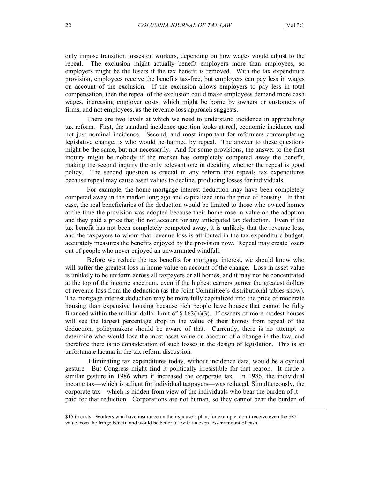only impose transition losses on workers, depending on how wages would adjust to the repeal. The exclusion might actually benefit employers more than employees, so employers might be the losers if the tax benefit is removed. With the tax expenditure provision, employees receive the benefits tax-free, but employers can pay less in wages on account of the exclusion. If the exclusion allows employers to pay less in total compensation, then the repeal of the exclusion could make employees demand more cash wages, increasing employer costs, which might be borne by owners or customers of firms, and not employees, as the revenue-loss approach suggests.

There are two levels at which we need to understand incidence in approaching tax reform. First, the standard incidence question looks at real, economic incidence and not just nominal incidence. Second, and most important for reformers contemplating legislative change, is who would be harmed by repeal. The answer to these questions might be the same, but not necessarily. And for some provisions, the answer to the first inquiry might be nobody if the market has completely competed away the benefit, making the second inquiry the only relevant one in deciding whether the repeal is good policy. The second question is crucial in any reform that repeals tax expenditures because repeal may cause asset values to decline, producing losses for individuals.

For example, the home mortgage interest deduction may have been completely competed away in the market long ago and capitalized into the price of housing. In that case, the real beneficiaries of the deduction would be limited to those who owned homes at the time the provision was adopted because their home rose in value on the adoption and they paid a price that did not account for any anticipated tax deduction. Even if the tax benefit has not been completely competed away, it is unlikely that the revenue loss, and the taxpayers to whom that revenue loss is attributed in the tax expenditure budget, accurately measures the benefits enjoyed by the provision now. Repeal may create losers out of people who never enjoyed an unwarranted windfall.

Before we reduce the tax benefits for mortgage interest, we should know who will suffer the greatest loss in home value on account of the change. Loss in asset value is unlikely to be uniform across all taxpayers or all homes, and it may not be concentrated at the top of the income spectrum, even if the highest earners garner the greatest dollars of revenue loss from the deduction (as the Joint Committee's distributional tables show). The mortgage interest deduction may be more fully capitalized into the price of moderate housing than expensive housing because rich people have houses that cannot be fully financed within the million dollar limit of  $\S$  163(h)(3). If owners of more modest houses will see the largest percentage drop in the value of their homes from repeal of the deduction, policymakers should be aware of that. Currently, there is no attempt to determine who would lose the most asset value on account of a change in the law, and therefore there is no consideration of such losses in the design of legislation. This is an unfortunate lacuna in the tax reform discussion.

 Eliminating tax expenditures today, without incidence data, would be a cynical gesture. But Congress might find it politically irresistible for that reason. It made a similar gesture in 1986 when it increased the corporate tax. In 1986, the individual income tax—which is salient for individual taxpayers—was reduced. Simultaneously, the corporate tax—which is hidden from view of the individuals who bear the burden of it paid for that reduction. Corporations are not human, so they cannot bear the burden of

 <sup>\$15</sup> in costs. Workers who have insurance on their spouse's plan, for example, don't receive even the \$85 value from the fringe benefit and would be better off with an even lesser amount of cash.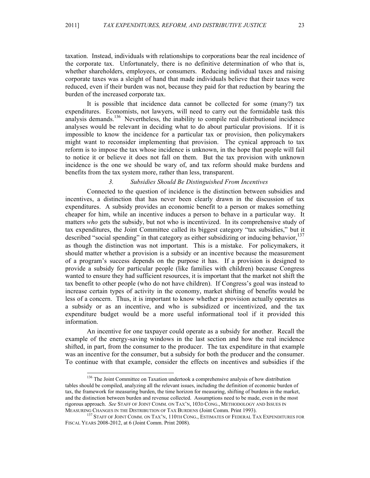taxation. Instead, individuals with relationships to corporations bear the real incidence of the corporate tax. Unfortunately, there is no definitive determination of who that is, whether shareholders, employees, or consumers. Reducing individual taxes and raising corporate taxes was a sleight of hand that made individuals believe that their taxes were reduced, even if their burden was not, because they paid for that reduction by bearing the burden of the increased corporate tax.

It is possible that incidence data cannot be collected for some (many?) tax expenditures. Economists, not lawyers, will need to carry out the formidable task this analysis demands. 136 Nevertheless, the inability to compile real distributional incidence analyses would be relevant in deciding what to do about particular provisions. If it is impossible to know the incidence for a particular tax or provision, then policymakers might want to reconsider implementing that provision. The cynical approach to tax reform is to impose the tax whose incidence is unknown, in the hope that people will fail to notice it or believe it does not fall on them. But the tax provision with unknown incidence is the one we should be wary of, and tax reform should make burdens and benefits from the tax system more, rather than less, transparent.

#### *3. Subsidies Should Be Distinguished From Incentives*

Connected to the question of incidence is the distinction between subsidies and incentives, a distinction that has never been clearly drawn in the discussion of tax expenditures. A subsidy provides an economic benefit to a person or makes something cheaper for him, while an incentive induces a person to behave in a particular way. It matters *who* gets the subsidy, but not who is incentivized. In its comprehensive study of tax expenditures, the Joint Committee called its biggest category "tax subsidies," but it described "social spending" in that category as either subsidizing or inducing behavior,<sup>137</sup> as though the distinction was not important. This is a mistake. For policymakers, it should matter whether a provision is a subsidy or an incentive because the measurement of a program's success depends on the purpose it has. If a provision is designed to provide a subsidy for particular people (like families with children) because Congress wanted to ensure they had sufficient resources, it is important that the market not shift the tax benefit to other people (who do not have children). If Congress's goal was instead to increase certain types of activity in the economy, market shifting of benefits would be less of a concern. Thus, it is important to know whether a provision actually operates as a subsidy or as an incentive, and who is subsidized or incentivized, and the tax expenditure budget would be a more useful informational tool if it provided this information.

An incentive for one taxpayer could operate as a subsidy for another. Recall the example of the energy-saving windows in the last section and how the real incidence shifted, in part, from the consumer to the producer. The tax expenditure in that example was an incentive for the consumer, but a subsidy for both the producer and the consumer. To continue with that example, consider the effects on incentives and subsidies if the

<sup>&</sup>lt;sup>136</sup> The Joint Committee on Taxation undertook a comprehensive analysis of how distribution tables should be compiled, analyzing all the relevant issues, including the definition of economic burden of tax, the framework for measuring burden, the time horizon for measuring, shifting of burdens in the market, and the distinction between burden and revenue collected. Assumptions need to be made, even in the most rigorous approach. *See* Staff of Joint Comm. on Tax'n, 103d Cong., Methodology and Issues in Measuring Changes in the Distribution of Tax Burdens (Joint Comm. Print 1993).

<sup>&</sup>lt;sup>137</sup> STAFF OF JOINT COMM. ON TAX'N, 110TH CONG., ESTIMATES OF FEDERAL TAX EXPENDITURES FOR FISCAL YEARS 2008-2012, at 6 (Joint Comm. Print 2008).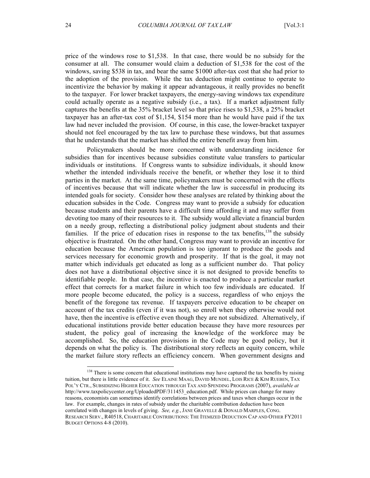price of the windows rose to \$1,538. In that case, there would be no subsidy for the consumer at all. The consumer would claim a deduction of \$1,538 for the cost of the windows, saving \$538 in tax, and bear the same \$1000 after-tax cost that she had prior to the adoption of the provision. While the tax deduction might continue to operate to incentivize the behavior by making it appear advantageous, it really provides no benefit to the taxpayer. For lower bracket taxpayers, the energy-saving windows tax expenditure could actually operate as a negative subsidy (i.e., a tax). If a market adjustment fully captures the benefits at the 35% bracket level so that price rises to \$1,538, a 25% bracket taxpayer has an after-tax cost of \$1,154, \$154 more than he would have paid if the tax law had never included the provision. Of course, in this case, the lower-bracket taxpayer should not feel encouraged by the tax law to purchase these windows, but that assumes that he understands that the market has shifted the entire benefit away from him.

Policymakers should be more concerned with understanding incidence for subsidies than for incentives because subsidies constitute value transfers to particular individuals or institutions. If Congress wants to subsidize individuals, it should know whether the intended individuals receive the benefit, or whether they lose it to third parties in the market. At the same time, policymakers must be concerned with the effects of incentives because that will indicate whether the law is successful in producing its intended goals for society. Consider how these analyses are related by thinking about the education subsides in the Code. Congress may want to provide a subsidy for education because students and their parents have a difficult time affording it and may suffer from devoting too many of their resources to it. The subsidy would alleviate a financial burden on a needy group, reflecting a distributional policy judgment about students and their families. If the price of education rises in response to the tax benefits,<sup>138</sup> the subsidy objective is frustrated. On the other hand, Congress may want to provide an incentive for education because the American population is too ignorant to produce the goods and services necessary for economic growth and prosperity. If that is the goal, it may not matter which individuals get educated as long as a sufficient number do. That policy does not have a distributional objective since it is not designed to provide benefits to identifiable people. In that case, the incentive is enacted to produce a particular market effect that corrects for a market failure in which too few individuals are educated. If more people become educated, the policy is a success, regardless of who enjoys the benefit of the foregone tax revenue. If taxpayers perceive education to be cheaper on account of the tax credits (even if it was not), so enroll when they otherwise would not have, then the incentive is effective even though they are not subsidized. Alternatively, if educational institutions provide better education because they have more resources per student, the policy goal of increasing the knowledge of the workforce may be accomplished. So, the education provisions in the Code may be good policy, but it depends on what the policy is. The distributional story reflects an equity concern, while the market failure story reflects an efficiency concern. When government designs and

<sup>&</sup>lt;sup>138</sup> There is some concern that educational institutions may have captured the tax benefits by raising tuition, but there is little evidence of it. *See* ELAINE MAAG, DAVID MUNDEL, LOIS RICE & KIM RUEBEN, TAX POL'Y CTR., SUBSIDIZING HIGHER EDUCATION THROUGH TAX AND SPENDING PROGRAMS (2007), *available at*  http://www.taxpolicycenter.org/UploadedPDF/311453 education.pdf. While prices can change for many reasons, economists can sometimes identify correlations between prices and taxes when changes occur in the law. For example, changes in rates of subsidy under the charitable contribution deduction have been correlated with changes in levels of giving. *See, e.g.*,JANE GRAVELLE & DONALD MARPLES, CONG. RESEARCH SERV., R40518, CHARITABLE CONTRIBUTIONS: THE ITEMIZED DEDUCTION CAP AND OTHER FY2011 BUDGET OPTIONS 4-8 (2010).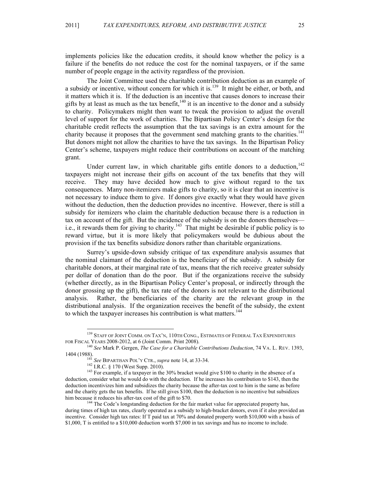implements policies like the education credits, it should know whether the policy is a failure if the benefits do not reduce the cost for the nominal taxpayers, or if the same number of people engage in the activity regardless of the provision.

The Joint Committee used the charitable contribution deduction as an example of a subsidy or incentive, without concern for which it is.<sup>139</sup> It might be either, or both, and it matters which it is. If the deduction is an incentive that causes donors to increase their gifts by at least as much as the tax benefit,<sup>140</sup> it is an incentive to the donor and a subsidy to charity. Policymakers might then want to tweak the provision to adjust the overall level of support for the work of charities. The Bipartisan Policy Center's design for the charitable credit reflects the assumption that the tax savings is an extra amount for the charity because it proposes that the government send matching grants to the charities.<sup>141</sup> But donors might not allow the charities to have the tax savings. In the Bipartisan Policy Center's scheme, taxpayers might reduce their contributions on account of the matching grant.

Under current law, in which charitable gifts entitle donors to a deduction,  $142$ taxpayers might not increase their gifts on account of the tax benefits that they will receive. They may have decided how much to give without regard to the tax consequences. Many non-itemizers make gifts to charity, so it is clear that an incentive is not necessary to induce them to give. If donors give exactly what they would have given without the deduction, then the deduction provides no incentive. However, there is still a subsidy for itemizers who claim the charitable deduction because there is a reduction in tax on account of the gift. But the incidence of the subsidy is on the donors themselves i.e., it rewards them for giving to charity.<sup>143</sup> That might be desirable if public policy is to reward virtue, but it is more likely that policymakers would be dubious about the provision if the tax benefits subsidize donors rather than charitable organizations.

Surrey's upside-down subsidy critique of tax expenditure analysis assumes that the nominal claimant of the deduction is the beneficiary of the subsidy. A subsidy for charitable donors, at their marginal rate of tax, means that the rich receive greater subsidy per dollar of donation than do the poor. But if the organizations receive the subsidy (whether directly, as in the Bipartisan Policy Center's proposal, or indirectly through the donor grossing up the gift), the tax rate of the donors is not relevant to the distributional analysis. Rather, the beneficiaries of the charity are the relevant group in the distributional analysis. If the organization receives the benefit of the subsidy, the extent to which the taxpayer increases his contribution is what matters.<sup>144</sup>

<sup>&</sup>lt;sup>139</sup> STAFF OF JOINT COMM. ON TAX'N, 110TH CONG., ESTIMATES OF FEDERAL TAX EXPENDITURES FOR FISCAL YEARS 2008-2012, at 6 (Joint Comm. Print 2008). <sup>140</sup> *See* Mark P. Gergen, *The Case for a Charitable Contributions Deduction*, 74 VA. L. REV. 1393,

<sup>1404 (1988). &</sup>lt;sup>141</sup> *See* BIPARTISAN POL'Y CTR., *supra* note 14, at 33-34.<br><sup>142</sup> I.R.C. § 170 (West Supp. 2010). <sup>143</sup> For example, if a taxpayer in the 30% bracket would give \$100 to charity in the absence of a

deduction, consider what he would do with the deduction. If he increases his contribution to \$143, then the deduction incentivizes him and subsidizes the charity because the after-tax cost to him is the same as before and the charity gets the tax benefits. If he still gives \$100, then the deduction is no incentive but subsidizes him because it reduces his after-tax cost of the gift to \$70.<br><sup>144</sup> The Code's longstanding deduction for the fair market value for appreciated property has,

during times of high tax rates, clearly operated as a subsidy to high-bracket donors, even if it also provided an incentive. Consider high tax rates: If T paid tax at 70% and donated property worth \$10,000 with a basis of \$1,000, T is entitled to a \$10,000 deduction worth \$7,000 in tax savings and has no income to include.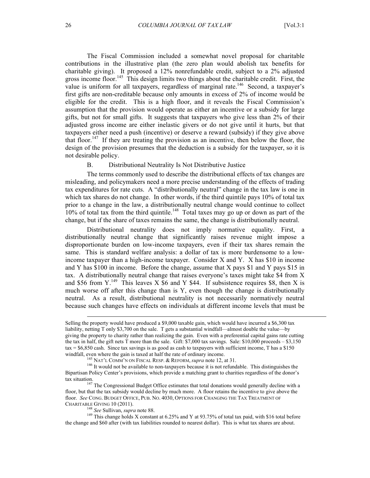The Fiscal Commission included a somewhat novel proposal for charitable contributions in the illustrative plan (the zero plan would abolish tax benefits for charitable giving). It proposed a 12% nonrefundable credit, subject to a 2% adjusted gross income floor.<sup>145</sup> This design limits two things about the charitable credit. First, the value is uniform for all taxpayers, regardless of marginal rate.<sup>146</sup> Second, a taxpayer's first gifts are non-creditable because only amounts in excess of 2% of income would be eligible for the credit. This is a high floor, and it reveals the Fiscal Commission's assumption that the provision would operate as either an incentive or a subsidy for large gifts, but not for small gifts. It suggests that taxpayers who give less than 2% of their adjusted gross income are either inelastic givers or do not give until it hurts, but that taxpayers either need a push (incentive) or deserve a reward (subsidy) if they give above that floor. 147 If they are treating the provision as an incentive, then below the floor, the design of the provision presumes that the deduction is a subsidy for the taxpayer, so it is not desirable policy.

#### B. Distributional Neutrality Is Not Distributive Justice

The terms commonly used to describe the distributional effects of tax changes are misleading, and policymakers need a more precise understanding of the effects of trading tax expenditures for rate cuts. A "distributionally neutral" change in the tax law is one in which tax shares do not change. In other words, if the third quintile pays 10% of total tax prior to a change in the law, a distributionally neutral change would continue to collect 10% of total tax from the third quintile.<sup>148</sup> Total taxes may go up or down as part of the change, but if the share of taxes remains the same, the change is distributionally neutral.

Distributional neutrality does not imply normative equality. First, a distributionally neutral change that significantly raises revenue might impose a disproportionate burden on low-income taxpayers, even if their tax shares remain the same. This is standard welfare analysis: a dollar of tax is more burdensome to a lowincome taxpayer than a high-income taxpayer. Consider X and Y. X has \$10 in income and Y has \$100 in income. Before the change, assume that X pays \$1 and Y pays \$15 in tax. A distributionally neutral change that raises everyone's taxes might take \$4 from X and \$56 from Y.<sup>149</sup> This leaves X \$6 and Y \$44. If subsistence requires \$8, then X is much worse off after this change than is Y, even though the change is distributionally neutral. As a result, distributional neutrality is not necessarily normatively neutral because such changes have effects on individuals at different income levels that must be

Selling the property would have produced a \$9,000 taxable gain, which would have incurred a \$6,300 tax liability, netting T only \$3,700 on the sale. T gets a substantial windfall—almost double the value—by giving the property to charity rather than realizing the gain. Even with a preferential capital gains rate cutting the tax in half, the gift nets T more than the sale. Gift: \$7,000 tax savings. Sale: \$10,000 proceeds – \$3,150 tax = \$6,850 cash. Since tax savings is as good as cash to taxpayers with sufficient income, T has a \$150 windfall, even where the gain is taxed at half the rate of ordinary income.<br><sup>145</sup> NAT'L COMM'N ON FISCAL RESP. & REFORM, *supra* note 12, at 31.<br><sup>146</sup> It would not be available to non-taxpayers because it is not refundable

Bipartisan Policy Center's provisions, which provide a matching grant to charities regardless of the donor's

tax situation.<br><sup>147</sup> The Congressional Budget Office estimates that total donations would generally decline with a<br>A face estimate the incentive to give above the floor, but that the tax subsidy would decline by much more. A floor retains the incentive to give above the floor. *See* CONG. BUDGET OFFICE, PUB. NO. 4030, OPTIONS FOR CHANGING THE TAX TREATMENT OF

<sup>&</sup>lt;sup>148</sup> See Sullivan, *supra* note 88.<br><sup>149</sup> This change holds X constant at 6.25% and Y at 93.75% of total tax paid, with \$16 total before the change and \$60 after (with tax liabilities rounded to nearest dollar). This is what tax shares are about.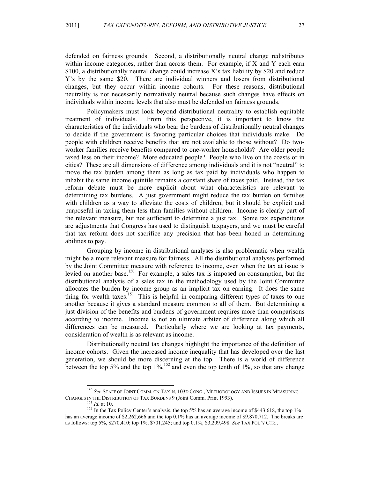defended on fairness grounds. Second, a distributionally neutral change redistributes within income categories, rather than across them. For example, if X and Y each earn \$100, a distributionally neutral change could increase X's tax liability by \$20 and reduce Y's by the same \$20. There are individual winners and losers from distributional changes, but they occur within income cohorts. For these reasons, distributional neutrality is not necessarily normatively neutral because such changes have effects on individuals within income levels that also must be defended on fairness grounds.

Policymakers must look beyond distributional neutrality to establish equitable treatment of individuals. From this perspective, it is important to know the characteristics of the individuals who bear the burdens of distributionally neutral changes to decide if the government is favoring particular choices that individuals make. Do people with children receive benefits that are not available to those without? Do twoworker families receive benefits compared to one-worker households? Are older people taxed less on their income? More educated people? People who live on the coasts or in cities? These are all dimensions of difference among individuals and it is not "neutral" to move the tax burden among them as long as tax paid by individuals who happen to inhabit the same income quintile remains a constant share of taxes paid. Instead, the tax reform debate must be more explicit about what characteristics are relevant to determining tax burdens. A just government might reduce the tax burden on families with children as a way to alleviate the costs of children, but it should be explicit and purposeful in taxing them less than families without children. Income is clearly part of the relevant measure, but not sufficient to determine a just tax. Some tax expenditures are adjustments that Congress has used to distinguish taxpayers, and we must be careful that tax reform does not sacrifice any precision that has been honed in determining abilities to pay.

Grouping by income in distributional analyses is also problematic when wealth might be a more relevant measure for fairness. All the distributional analyses performed by the Joint Committee measure with reference to income, even when the tax at issue is levied on another base.<sup>150</sup> For example, a sales tax is imposed on consumption, but the distributional analysis of a sales tax in the methodology used by the Joint Committee allocates the burden by income group as an implicit tax on earning. It does the same thing for wealth taxes. 151 This is helpful in comparing different types of taxes to one another because it gives a standard measure common to all of them. But determining a just division of the benefits and burdens of government requires more than comparisons according to income. Income is not an ultimate arbiter of difference along which all differences can be measured. Particularly where we are looking at tax payments, consideration of wealth is as relevant as income.

Distributionally neutral tax changes highlight the importance of the definition of income cohorts. Given the increased income inequality that has developed over the last generation, we should be more discerning at the top. There is a world of difference between the top 5% and the top  $1\%$ ,  $^{152}$  and even the top tenth of 1%, so that any change

<sup>&</sup>lt;sup>150</sup> *See* Staff of Joint Comm. on Tax'n, 103d Cong., Methodology and Issues in Measuring Changes in the Distribution of Tax Burdens 9 (Joint Comm. Print 1993).

<sup>&</sup>lt;sup>151</sup> *Id.* at 10.<br><sup>152</sup> In the Tax Policy Center's analysis, the top 5% has an average income of \$443,618, the top 1% has an average income of \$2,262,666 and the top 0.1% has an average income of \$9,870,712. The breaks are as follows: top 5%, \$270,410; top 1%, \$701,245; and top 0.1%, \$3,209,498. *See* TAX POL'Y CTR.,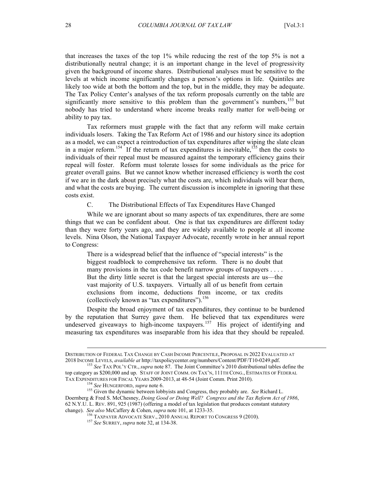that increases the taxes of the top 1% while reducing the rest of the top 5% is not a distributionally neutral change; it is an important change in the level of progressivity given the background of income shares. Distributional analyses must be sensitive to the levels at which income significantly changes a person's options in life. Quintiles are likely too wide at both the bottom and the top, but in the middle, they may be adequate. The Tax Policy Center's analyses of the tax reform proposals currently on the table are significantly more sensitive to this problem than the government's numbers,<sup>153</sup> but nobody has tried to understand where income breaks really matter for well-being or ability to pay tax.

Tax reformers must grapple with the fact that any reform will make certain individuals losers. Taking the Tax Reform Act of 1986 and our history since its adoption as a model, we can expect a reintroduction of tax expenditures after wiping the slate clean in a major reform.<sup>154</sup> If the return of tax expenditures is inevitable,<sup>155</sup> then the costs to individuals of their repeal must be measured against the temporary efficiency gains their repeal will foster. Reform must tolerate losses for some individuals as the price for greater overall gains. But we cannot know whether increased efficiency is worth the cost if we are in the dark about precisely what the costs are, which individuals will bear them, and what the costs are buying. The current discussion is incomplete in ignoring that these costs exist.

C. The Distributional Effects of Tax Expenditures Have Changed

While we are ignorant about so many aspects of tax expenditures, there are some things that we can be confident about. One is that tax expenditures are different today than they were forty years ago, and they are widely available to people at all income levels. Nina Olson, the National Taxpayer Advocate, recently wrote in her annual report to Congress:

There is a widespread belief that the influence of "special interests" is the biggest roadblock to comprehensive tax reform. There is no doubt that many provisions in the tax code benefit narrow groups of taxpayers . . . . But the dirty little secret is that the largest special interests are us—the vast majority of U.S. taxpayers. Virtually all of us benefit from certain exclusions from income, deductions from income, or tax credits (collectively known as "tax expenditures"). 156

Despite the broad enjoyment of tax expenditures, they continue to be burdened by the reputation that Surrey gave them. He believed that tax expenditures were undeserved giveaways to high-income taxpayers.<sup>157</sup> His project of identifying and measuring tax expenditures was inseparable from his idea that they should be repealed.

DISTRIBUTION OF FEDERAL TAX CHANGE BY CASH INCOME PERCENTILE, PROPOSAL IN 2022 EVALUATED AT <sup>2018</sup> INCOME LEVELS, *available at* http://taxpolicycenter.org/numbers/Content/PDF/T10-0249.pdf. <sup>153</sup> *See* TAX POL'Y CTR.,*supra* note 87. The Joint Committee's 2010 distributional tables define the

top category as \$200,000 and up.STAFF OF JOINT COMM. ON TAX'N, 111TH CONG., ESTIMATES OF FEDERAL

TAX EXPENDITURES FOR FISCAL YEARS 2009-2013, at 48-54 (Joint Comm. Print 2010). <sup>154</sup> *See* HUNGERFORD, *supra* note 6. 155 Given the dynamic between lobbyists and Congress, they probably are. *See* Richard L. Doernberg & Fred S. McChesney, *Doing Good or Doing Well? Congress and the Tax Reform Act of 1986*, 62 N.Y.U. L. REV. 891, 925 (1987) (offering a model of tax legislation that produces constant statutory change). *See also* McCaffery & Cohen, *supra* note 101, at 1233-35. <sup>156</sup> TAXPAYER ADVOCATE SERV., <sup>2010</sup> ANNUAL REPORT TO CONGRESS 9 (2010). <sup>157</sup> *See* SURREY, *supra* note 32, at 134-38.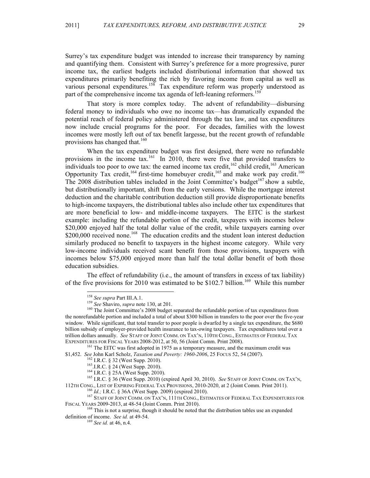Surrey's tax expenditure budget was intended to increase their transparency by naming and quantifying them. Consistent with Surrey's preference for a more progressive, purer income tax, the earliest budgets included distributional information that showed tax expenditures primarily benefiting the rich by favoring income from capital as well as various personal expenditures.<sup>158</sup> Tax expenditure reform was properly understood as part of the comprehensive income tax agenda of left-leaning reformers.<sup>159</sup>

That story is more complex today. The advent of refundability—disbursing federal money to individuals who owe no income tax—has dramatically expanded the potential reach of federal policy administered through the tax law, and tax expenditures now include crucial programs for the poor. For decades, families with the lowest incomes were mostly left out of tax benefit largesse, but the recent growth of refundable provisions has changed that.<sup>160</sup>

When the tax expenditure budget was first designed, there were no refundable provisions in the income tax.<sup>161</sup> In 2010, there were five that provided transfers to individuals too poor to owe tax: the earned income tax credit,  $^{162}$  child credit,  $^{163}$  American Opportunity Tax credit,  $164$  first-time homebuyer credit,  $165$  and make work pay credit.  $166$ The 2008 distribution tables included in the Joint Committee's budget<sup>167</sup> show a subtle, but distributionally important, shift from the early versions. While the mortgage interest deduction and the charitable contribution deduction still provide disproportionate benefits to high-income taxpayers, the distributional tables also include other tax expenditures that are more beneficial to low- and middle-income taxpayers. The EITC is the starkest example: including the refundable portion of the credit, taxpayers with incomes below \$20,000 enjoyed half the total dollar value of the credit, while taxpayers earning over \$200,000 received none.<sup>168</sup> The education credits and the student loan interest deduction similarly produced no benefit to taxpayers in the highest income category. While very low-income individuals received scant benefit from those provisions, taxpayers with incomes below \$75,000 enjoyed more than half the total dollar benefit of both those education subsidies.

The effect of refundability (i.e., the amount of transfers in excess of tax liability) of the five provisions for 2010 was estimated to be \$102.7 billion.<sup>169</sup> While this number

<sup>161</sup> The EITC was first adopted in 1975 as a temporary measure, and the maximum credit was \$1,452. *See John Karl Scholz, Taxation and Poverty: 1960-2006*, 25 Focus 52, 54 (2007).

<sup>162</sup> I.R.C. § 32 (West Supp. 2010).<br><sup>163</sup> I.R.C. § 24 (West Supp. 2010).<br><sup>164</sup> I.R.C. § 25A (West Supp. 2010).<br><sup>164</sup> I.R.C. § 36 (West Supp. 2010) (expired April 30, 2010). *See* STAFF OF JOINT COMM. ON TAX'N,

<sup>&</sup>lt;sup>158</sup> *See supra* Part III.A.1.<br><sup>159</sup> *See* Shaviro, *supra* note 130, at 201.<br><sup>160</sup> The Joint Committee's 2008 budget separated the refundable portion of tax expenditures from the nonrefundable portion and included a total of about \$300 billion in transfers to the poor over the five-year window. While significant, that total transfer to poor people is dwarfed by a single tax expenditure, the \$680 billion subsidy of employer-provided health insurance to tax-owing taxpayers. Tax expenditures total over a trillion dollars annually. *See* STAFF OF JOINT COMM. ON TAX'N, 110TH CONG., ESTIMATES OF FEDERAL TAX

<sup>112</sup>TH CONG., LIST OF EXPIRING FEDERAL TAX PROVISIONS, 2010-2020, at 2 (Joint Comm. Print 2011).<br><sup>166</sup> *Id.*; I.R.C. § 36A (West Supp. 2009) (expired 2010).<br><sup>167</sup> STAFF OF JOINT COMM. ON TAX'N, 111TH CONG., ESTIMATES OF FE

 $168$  This is not a surprise, though it should be noted that the distribution tables use an expanded definition of income. *See id.* at 49-54. <sup>169</sup> *See id.* at 46, n.4.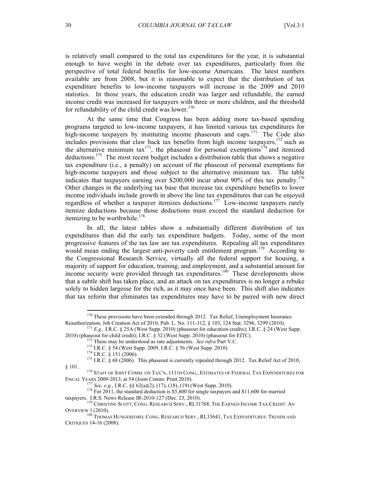is relatively small compared to the total tax expenditures for the year, it is substantial enough to have weight in the debate over tax expenditures, particularly from the perspective of total federal benefits for low-income Americans. The latest numbers available are from 2008, but it is reasonable to expect that the distribution of tax expenditure benefits to low-income taxpayers will increase in the 2009 and 2010 statistics. In those years, the education credit was larger and refundable, the earned income credit was increased for taxpayers with three or more children, and the threshold for refundability of the child credit was lower.<sup>170</sup>

At the same time that Congress has been adding more tax-based spending programs targeted to low-income taxpayers, it has limited various tax expenditures for high-income taxpayers by instituting income phaseouts and caps.<sup>171</sup> The Code also includes provisions that claw back tax benefits from high income taxpayers, 172 such as the alternative minimum tax<sup>173</sup>, the phaseout for personal exemptions<sup>174</sup> and itemized deductions.175 The most recent budget includes a distribution table that shows a negative tax expenditure (i.e., a penalty) on account of the phaseout of personal exemptions for high-income taxpayers and those subject to the alternative minimum tax. The table indicates that taxpayers earning over \$200,000 incur about 90% of this tax penalty. 176 Other changes in the underlying tax base that increase tax expenditure benefits to lower income individuals include growth in above the line tax expenditures that can be enjoyed regardless of whether a taxpayer itemizes deductions.<sup>177</sup> Low-income taxpayers rarely itemize deductions because those deductions must exceed the standard deduction for itemizing to be worthwhile.<sup>178</sup>

In all, the latest tables show a substantially different distribution of tax expenditures than did the early tax expenditure budgets. Today, some of the most progressive features of the tax law are tax expenditures. Repealing all tax expenditures would mean ending the largest anti-poverty cash entitlement program.<sup>179</sup> According to the Congressional Research Service, virtually all the federal support for housing, a majority of support for education, training, and employment, and a substantial amount for income security were provided through tax expenditures.<sup>180</sup> These developments show that a subtle shift has taken place, and an attack on tax expenditures is no longer a rebuke solely to hidden largesse for the rich, as it may once have been. This shift also indicates that tax reform that eliminates tax expenditures may have to be paired with new direct

<sup>&</sup>lt;sup>170</sup> These provisions have been extended through 2012. Tax Relief, Unemployment Insurance Reauthorization, Job Creation Act of 2010, Pub. L. No. 111-312,  $\S$  103, 124 Stat. 3296, 3299 (2010).

<sup>&</sup>lt;sup>171</sup> *E.g.*, I.R.C. § 25A (West Supp. 2010) (phaseout for education credits); I.R.C. § 24 (West Supp. 2010) (phaseout for education credits); I.R.C. § 24 (West Supp.

<sup>&</sup>lt;sup>172</sup> These may be understood as rate adjustments. *See infra* Part V.C.<br><sup>173</sup> I.R.C. § 54 (West Supp. 2009, I.R.C. § 56 (West Supp. 2010).<br><sup>174</sup> I.R.C. § 151 (2006).<br><sup>175</sup> I.R.C. § 68 (2006). This phaseout is currently r

<sup>§ 101. 1&</sup>lt;sup>76</sup> Staff of Joint Comm. on Tax'n, 111th Cong., Estimates of Federal Tax Expenditures for Fiscal Years 2009-2013, at 54 (Joint Comm. Print 2010).

<sup>&</sup>lt;sup>177</sup> See, e.g., I.R.C. §§ 62(a)(2), (17), (18), (19) (West Supp. 2010).<br><sup>178</sup> For 2011, the standard deduction is \$5,800 for single taxpayers and \$11,600 for married

taxpayers. I.R.S. News Release IR-2010-127 (Dec. 23, 2010). <sup>179</sup> CHRISTINE SCOTT, CONG. RESEARCH SERV., RL31768, THE EARNED INCOME TAX CREDIT: AN Overview 1 (2010).<br><sup>180</sup> Thomas Hungerford, Cong. Research Serv., RL33641, Tax Expenditures: Trends and

CRITIQUES 14-16 (2008).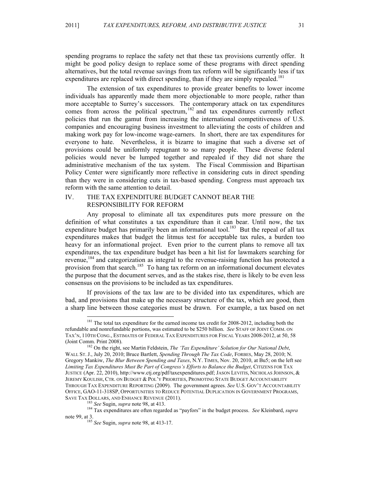spending programs to replace the safety net that these tax provisions currently offer. It might be good policy design to replace some of these programs with direct spending alternatives, but the total revenue savings from tax reform will be significantly less if tax expenditures are replaced with direct spending, than if they are simply repealed.<sup>181</sup>

The extension of tax expenditures to provide greater benefits to lower income individuals has apparently made them more objectionable to more people, rather than more acceptable to Surrey's successors. The contemporary attack on tax expenditures comes from across the political spectrum, 182 and tax expenditures currently reflect policies that run the gamut from increasing the international competitiveness of U.S. companies and encouraging business investment to alleviating the costs of children and making work pay for low-income wage-earners. In short, there are tax expenditures for everyone to hate. Nevertheless, it is bizarre to imagine that such a diverse set of provisions could be uniformly repugnant to so many people. These diverse federal policies would never be lumped together and repealed if they did not share the administrative mechanism of the tax system. The Fiscal Commission and Bipartisan Policy Center were significantly more reflective in considering cuts in direct spending than they were in considering cuts in tax-based spending. Congress must approach tax reform with the same attention to detail.

# IV. THE TAX EXPENDITURE BUDGET CANNOT BEAR THE RESPONSIBILITY FOR REFORM

Any proposal to eliminate all tax expenditures puts more pressure on the definition of what constitutes a tax expenditure than it can bear. Until now, the tax expenditure budget has primarily been an informational tool.<sup>183</sup> But the repeal of all tax expenditures makes that budget the litmus test for acceptable tax rules, a burden too heavy for an informational project. Even prior to the current plans to remove all tax expenditures, the tax expenditure budget has been a hit list for lawmakers searching for revenue,<sup>184</sup> and categorization as integral to the revenue-raising function has protected a provision from that search.<sup>185</sup> To hang tax reform on an informational document elevates the purpose that the document serves, and as the stakes rise, there is likely to be even less consensus on the provisions to be included as tax expenditures.

If provisions of the tax law are to be divided into tax expenditures, which are bad, and provisions that make up the necessary structure of the tax, which are good, then a sharp line between those categories must be drawn. For example, a tax based on net

<sup>&</sup>lt;sup>181</sup> The total tax expenditure for the earned income tax credit for 2008-2012, including both the refundable and nonrefundable portions, was estimated to be \$250 billion. *See* STAFF OF JOINT COMM. ON TAX'N, 110TH CONG., ESTIMATES OF FEDERAL TAX EXPENDITURES FOR FISCAL YEARS 2008-2012, at 50, 58 (Joint Comm. Print 2008). 182 On the right, see Martin Feldstein, *The 'Tax Expenditure' Solution for Our National Debt*,

WALL ST.J., July 20, 2010; Bruce Bartlett, *Spending Through The Tax Code*, FORBES, May 28, 2010; N. Gregory Mankiw, *The Blur Between Spending and Taxes*, N.Y. TIMES, Nov. 20, 2010, at Bu5; on the left see *Limiting Tax Expenditures Must Be Part of Congress's Efforts to Balance the Budget*, CITIZENS FOR TAX JUSTICE (Apr. 22, 2010), http://www.ctj.org/pdf/taxexpenditures.pdf; JASON LEVITIS, NICHOLAS JOHNSON, & JEREMY KOULISH, CTR. ON BUDGET & POL'Y PRIORITIES, PROMOTING STATE BUDGET ACCOUNTABILITY THROUGH TAX EXPENDITURE REPORTING (2009). The government agrees. *See* U.S. GOV'T ACCOUNTABILITY OFFICE, GAO-11-318SP, OPPORTUNITIES TO REDUCE POTENTIAL DUPLICATION IN GOVERNMENT PROGRAMS, SAVE TAX DOLLARS, AND ENHANCE REVENUE (2011). <sup>183</sup> *See* Sugin, *supra* note 98, at 413. 184 Tax expenditures are often regarded as "payfors" in the budget process. *See* Kleinbard, *supra*

note 99, at 3. <sup>185</sup> *See* Sugin, *supra* note 98, at 413-17.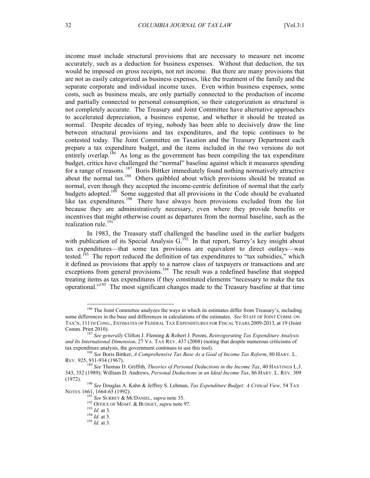income must include structural provisions that are necessary to measure net income accurately, such as a deduction for business expenses. Without that deduction, the tax would be imposed on gross receipts, not net income. But there are many provisions that are not as easily categorized as business expenses, like the treatment of the family and the separate corporate and individual income taxes. Even within business expenses, some costs, such as business meals, are only partially connected to the production of income and partially connected to personal consumption, so their categorization as structural is not completely accurate. The Treasury and Joint Committee have alternative approaches to accelerated depreciation, a business expense, and whether it should be treated as normal. Despite decades of trying, nobody has been able to decisively draw the line between structural provisions and tax expenditures, and the topic continues to be contested today. The Joint Committee on Taxation and the Treasury Department each prepare a tax expenditure budget, and the items included in the two versions do not entirely overlap.<sup>186</sup> As long as the government has been compiling the tax expenditure budget, critics have challenged the "normal" baseline against which it measures spending for a range of reasons.<sup>187</sup> Boris Bittker immediately found nothing normatively attractive about the normal tax.188 Others quibbled about which provisions should be treated as normal, even though they accepted the income-centric definition of normal that the early budgets adopted.<sup>189</sup> Some suggested that all provisions in the Code should be evaluated like tax expenditures.<sup>190</sup> There have always been provisions excluded from the list because they are administratively necessary, even where they provide benefits or incentives that might otherwise count as departures from the normal baseline, such as the realization rule.<sup>191</sup>

In 1983, the Treasury staff challenged the baseline used in the earlier budgets with publication of its Special Analysis  $G$ .<sup>192</sup> In that report, Surrey's key insight about tax expenditures—that some tax provisions are equivalent to direct outlays—was tested.<sup>193</sup> The report reduced the definition of tax expenditures to "tax subsidies," which it defined as provisions that apply to a narrow class of taxpayers or transactions and are exceptions from general provisions.<sup>194</sup> The result was a redefined baseline that stopped treating items as tax expenditures if they constituted elements "necessary to make the tax operational." 195 The most significant changes made to the Treasury baseline at that time

<sup>&</sup>lt;sup>186</sup> The Joint Committee analyzes the ways in which its estimates differ from Treasury's, including some differences in the base and differences in calculations of the estimates. *See* STAFF OF JOINT COMM. ON TAX'N, 111TH CONG., ESTIMATES OF FEDERAL TAX EXPENDITURES FOR FISCAL YEARS 2009-2013, at 19 (Joint

<sup>&</sup>lt;sup>187</sup> See generally Clifton J. Fleming & Robert J. Peroni, *Reinvigorating Tax Expenditure Analysis and Its International Dimension*, 27 VA. TAX REV. 437 (2008) (noting that despite numerous criticisms of tax expenditure analysis, the government continues to use this tool).

<sup>&</sup>lt;sup>188</sup> See Boris Bittker, A Comprehensive Tax Base As a Goal of Income Tax Reform, 80 HARV. L. REV. 925, 931-934 (1967). <sup>189</sup> *See* Thomas D. Griffith, *Theories of Personal Deductions in the Income Tax*, 40 HASTINGS L.J.

<sup>343, 352 (1989);</sup> William D. Andrews, *Personal Deductions in an Ideal Income Tax*, 86 HARV. L. REV. 309

<sup>(1972).</sup> <sup>190</sup> *See* Douglas A. Kahn & Jeffrey S. Lehman, *Tax Expenditure Budget: A Critical View,* 54 TAX NOTES 1661, 1664-65 (1992).<br><sup>191</sup> *See* SURREY & MCDANIEL, *supra* note 35.<br><sup>192</sup> OFFICE OF MGMT. & BUDGET, *supra* note 97.<br><sup>193</sup> *Id.* at 3.<br><sup>194</sup> *Id.* at 3.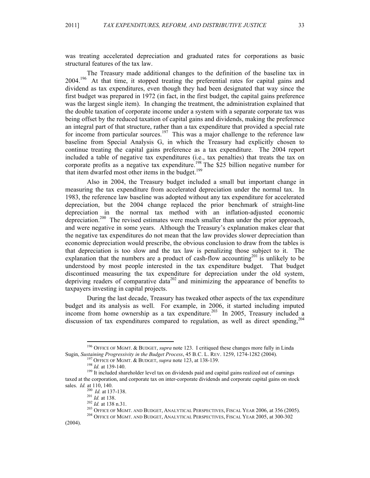was treating accelerated depreciation and graduated rates for corporations as basic structural features of the tax law.

The Treasury made additional changes to the definition of the baseline tax in  $2004$ <sup>196</sup> At that time, it stopped treating the preferential rates for capital gains and dividend as tax expenditures, even though they had been designated that way since the first budget was prepared in 1972 (in fact, in the first budget, the capital gains preference was the largest single item). In changing the treatment, the administration explained that the double taxation of corporate income under a system with a separate corporate tax was being offset by the reduced taxation of capital gains and dividends, making the preference an integral part of that structure, rather than a tax expenditure that provided a special rate for income from particular sources.<sup>197</sup> This was a major challenge to the reference law baseline from Special Analysis G, in which the Treasury had explicitly chosen to continue treating the capital gains preference as a tax expenditure. The 2004 report included a table of negative tax expenditures (i.e., tax penalties) that treats the tax on corporate profits as a negative tax expenditure.<sup>198</sup> The \$25 billion negative number for that item dwarfed most other items in the budget.<sup>199</sup>

Also in 2004, the Treasury budget included a small but important change in measuring the tax expenditure from accelerated depreciation under the normal tax. In 1983, the reference law baseline was adopted without any tax expenditure for accelerated depreciation, but the 2004 change replaced the prior benchmark of straight-line depreciation in the normal tax method with an inflation-adjusted economic depreciation.<sup>200</sup> The revised estimates were much smaller than under the prior approach, and were negative in some years. Although the Treasury's explanation makes clear that the negative tax expenditures do not mean that the law provides slower depreciation than economic depreciation would prescribe, the obvious conclusion to draw from the tables is that depreciation is too slow and the tax law is penalizing those subject to it. The explanation that the numbers are a product of cash-flow accounting<sup>201</sup> is unlikely to be understood by most people interested in the tax expenditure budget. That budget discontinued measuring the tax expenditure for depreciation under the old system, depriving readers of comparative data<sup>202</sup> and minimizing the appearance of benefits to taxpayers investing in capital projects.

During the last decade, Treasury has tweaked other aspects of the tax expenditure budget and its analysis as well. For example, in 2006, it started including imputed income from home ownership as a tax expenditure.<sup>203</sup> In 2005, Treasury included a discussion of tax expenditures compared to regulation, as well as direct spending,  $204$ 

 <sup>196</sup> OFFICE OF MGMT. & BUDGET, *supra* note 123. I critiqued these changes more fully in Linda Sugin, *Sustaining Progressivity in the Budget Process*, 45 B.C. L. REV. 1259, 1274-1282 (2004).<br><sup>197</sup> OFFICE OF MGMT. & BUDGET, *supra* note 123, at 138-139.<br><sup>198</sup> *Id.* at 139-140.<br><sup>199</sup> It included shareholder level ta

taxed at the corporation, and corporate tax on inter-corporate dividends and corporate capital gains on stock sales. *Id.* at 110, 140.<br><sup>200</sup> *Id.* at 137-138.

<sup>201</sup> *Id.* at 138.<br>
202 *Id.* at 138 n.31.<br>
<sup>202</sup> *Id.* at 138 n.31.<br>
<sup>203</sup> OFFICE OF MGMT. AND BUDGET, ANALYTICAL PERSPECTIVES, FISCAL YEAR 2006, at 356 (2005).<br>
<sup>204</sup> OFFICE OF MGMT. AND BUDGET, ANALYTICAL PERSPECTIVES,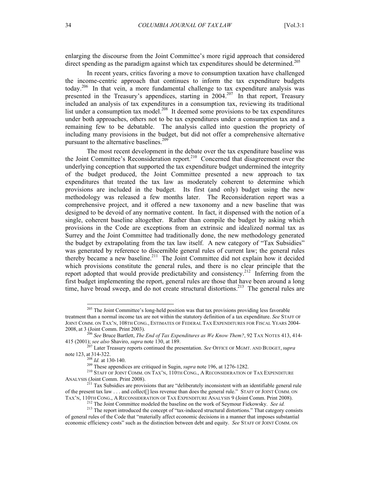enlarging the discourse from the Joint Committee's more rigid approach that considered direct spending as the paradigm against which tax expenditures should be determined.<sup>205</sup>

In recent years, critics favoring a move to consumption taxation have challenged the income-centric approach that continues to inform the tax expenditure budgets today. 206 In that vein, a more fundamental challenge to tax expenditure analysis was presented in the Treasury's appendices, starting in 2004.<sup>207</sup> In that report, Treasury included an analysis of tax expenditures in a consumption tax, reviewing its traditional list under a consumption tax model.<sup>208</sup> It deemed some provisions to be tax expenditures under both approaches, others not to be tax expenditures under a consumption tax and a remaining few to be debatable. The analysis called into question the propriety of including many provisions in the budget, but did not offer a comprehensive alternative pursuant to the alternative baselines. 209

The most recent development in the debate over the tax expenditure baseline was the Joint Committee's Reconsideration report. 210 Concerned that disagreement over the underlying conception that supported the tax expenditure budget undermined the integrity of the budget produced, the Joint Committee presented a new approach to tax expenditures that treated the tax law as moderately coherent to determine which provisions are included in the budget. Its first (and only) budget using the new methodology was released a few months later. The Reconsideration report was a comprehensive project, and it offered a new taxonomy and a new baseline that was designed to be devoid of any normative content. In fact, it dispensed with the notion of a single, coherent baseline altogether. Rather than compile the budget by asking which provisions in the Code are exceptions from an extrinsic and idealized normal tax as Surrey and the Joint Committee had traditionally done, the new methodology generated the budget by extrapolating from the tax law itself. A new category of "Tax Subsidies" was generated by reference to discernible general rules of current law; the general rules thereby became a new baseline.<sup>211</sup> The Joint Committee did not explain how it decided which provisions constitute the general rules, and there is no clear principle that the report adopted that would provide predictability and consistency.<sup>212</sup> Inferring from the first budget implementing the report, general rules are those that have been around a long time, have broad sweep, and do not create structural distortions.<sup>213</sup> The general rules are

 $205$  The Joint Committee's long-held position was that tax provisions providing less favorable treatment than a normal income tax are not within the statutory definition of a tax expenditure. *See* STAFF OF JOINT COMM. ON TAX'N, 108TH CONG., ESTIMATES OF FEDERAL TAX EXPENDITURES FOR FISCAL YEARS 2004- 2008, at 3 (Joint Comm. Print 2003).

<sup>206</sup> *See* Bruce Bartlett, *The End of Tax Expenditures as We Know Them?*, 92 TAX NOTES 413, 414-

<sup>415 (2001);</sup> *see also* Shaviro, *supra* note 130, at 189. 207 Later Treasury reports continued the presentation. *See* OFFICE OF MGMT. AND BUDGET,*supra*

<sup>&</sup>lt;sup>208</sup> *Id.* at 130-140.<br><sup>209</sup> These appendices are critiqued in Sugin, *supra* note 196, at 1276-1282.<br><sup>210</sup> STAFF OF JOINT COMM. ON TAX'N, 110TH CONG., A RECONSIDERATION OF TAX EXPENDITURE ANALYSIS (Joint Comm. Print 2008).

<sup>&</sup>lt;sup>211</sup> Tax Subsidies are provisions that are "deliberately inconsistent with an identifiable general rule of the present tax law . . . and collect[] less revenue than does the general rule." STAFF OF JOINT COMM. ON TAX'N, 110TH CONG., A RECONSIDERATION OF TAX EXPENDITURE ANALYSIS 9 (Joint Comm. Print 2008).

<sup>&</sup>lt;sup>212</sup> The Joint Committee modeled the baseline on the work of Seymour Fiekowsky. *See id.*  $^{213}$  The report introduced the concept of "tax-induced structural distortions." That category consists of general rules of the Code that "materially affect economic decisions in a manner that imposes substantial economic efficiency costs" such as the distinction between debt and equity. *See* STAFF OF JOINT COMM. ON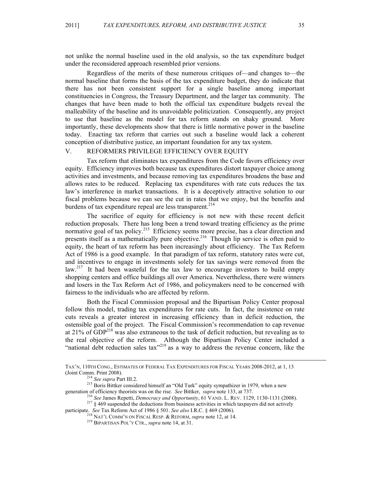not unlike the normal baseline used in the old analysis, so the tax expenditure budget under the reconsidered approach resembled prior versions.

Regardless of the merits of these numerous critiques of—and changes to—the normal baseline that forms the basis of the tax expenditure budget, they do indicate that there has not been consistent support for a single baseline among important constituencies in Congress, the Treasury Department, and the larger tax community. The changes that have been made to both the official tax expenditure budgets reveal the malleability of the baseline and its unavoidable politicization. Consequently, any project to use that baseline as the model for tax reform stands on shaky ground. More importantly, these developments show that there is little normative power in the baseline today. Enacting tax reform that carries out such a baseline would lack a coherent conception of distributive justice, an important foundation for any tax system.

# V. REFORMERS PRIVILEGE EFFICIENCY OVER EQUITY

Tax reform that eliminates tax expenditures from the Code favors efficiency over equity. Efficiency improves both because tax expenditures distort taxpayer choice among activities and investments, and because removing tax expenditures broadens the base and allows rates to be reduced. Replacing tax expenditures with rate cuts reduces the tax law's interference in market transactions. It is a deceptively attractive solution to our fiscal problems because we can see the cut in rates that we enjoy, but the benefits and burdens of tax expenditure repeal are less transparent.<sup>214</sup>

The sacrifice of equity for efficiency is not new with these recent deficit reduction proposals. There has long been a trend toward treating efficiency as the prime normative goal of tax policy.<sup>215</sup> Efficiency seems more precise, has a clear direction and presents itself as a mathematically pure objective.<sup>216</sup> Though lip service is often paid to equity, the heart of tax reform has been increasingly about efficiency. The Tax Reform Act of 1986 is a good example. In that paradigm of tax reform, statutory rates were cut, and incentives to engage in investments solely for tax savings were removed from the law.<sup>217</sup> It had been wasteful for the tax law to encourage investors to build empty shopping centers and office buildings all over America. Nevertheless, there were winners and losers in the Tax Reform Act of 1986, and policymakers need to be concerned with fairness to the individuals who are affected by reform.

Both the Fiscal Commission proposal and the Bipartisan Policy Center proposal follow this model, trading tax expenditures for rate cuts. In fact, the insistence on rate cuts reveals a greater interest in increasing efficiency than in deficit reduction, the ostensible goal of the project. The Fiscal Commission's recommendation to cap revenue at  $21\%$  of GDP<sup>218</sup> was also extraneous to the task of deficit reduction, but revealing as to the real objective of the reform. Although the Bipartisan Policy Center included a "national debt reduction sales  $\text{tax}^{219}$  as a way to address the revenue concern, like the

l

TAX'N, 110TH CONG., ESTIMATES OF FEDERAL TAX EXPENDITURES FOR FISCAL YEARS 2008-2012, at 1, 13

<sup>(</sup>Joint Comm. Print 2008). 214 *See supra* Part III.2. 215 Boris Bittker considered himself an "Old Turk" equity sympathizer in 1979, when a new generation of efficiency theorists was on the rise. *See* Bittker, *supra* note 133, at 737.<br><sup>216</sup> *See James Repetti, Democracy and Opportunity*, 61 VAND. L. REV. 1129, 1130-1131 (2008).<br><sup>217</sup> § 469 suspended the deducti

participate. *See* Tax Reform Act of 1986 § 501. *See also* I.R.C. § 469 (2006).<br><sup>218</sup> NAT'L COMM'N ON FISCAL RESP. & REFORM, *supra* note 12, at 14.<br><sup>219</sup> BIPARTISAN POL'Y CTR., *supra* note 14, at 31.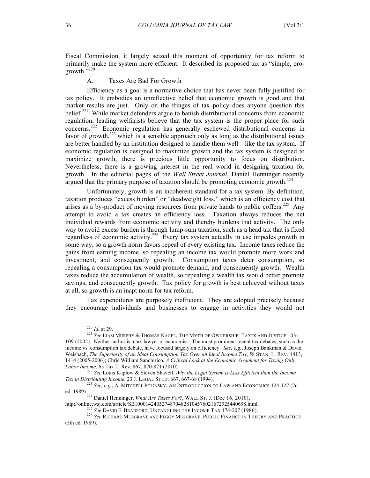Fiscal Commission, it largely seized this moment of opportunity for tax reform to primarily make the system more efficient. It described its proposed tax as "simple, progrowth."220

#### A. Taxes Are Bad For Growth

Efficiency as a goal is a normative choice that has never been fully justified for tax policy. It embodies an unreflective belief that economic growth is good and that market results are just. Only on the fringes of tax policy does anyone question this belief.<sup>221</sup> While market defenders argue to banish distributional concerns from economic regulation, leading welfarists believe that the tax system is the proper place for such concerns. 222 Economic regulation has generally eschewed distributional concerns in favor of growth,<sup>223</sup> which is a sensible approach only as long as the distributional issues are better handled by an institution designed to handle them well—like the tax system. If economic regulation is designed to maximize growth and the tax system is designed to maximize growth, there is precious little opportunity to focus on distribution. Nevertheless, there is a growing interest in the real world in designing taxation for growth. In the editorial pages of the *Wall Street Journal*, Daniel Henninger recently argued that the primary purpose of taxation should be promoting economic growth.<sup>224</sup>

Unfortunately, growth is an incoherent standard for a tax system. By definition, taxation produces "excess burden" or "deadweight loss," which is an efficiency cost that arises as a by-product of moving resources from private hands to public coffers.<sup>225</sup> Any attempt to avoid a tax creates an efficiency loss. Taxation always reduces the net individual rewards from economic activity and thereby burdens that activity. The only way to avoid excess burden is through lump-sum taxation, such as a head tax that is fixed regardless of economic activity.<sup>226</sup> Every tax system actually in use impedes growth in some way, so a growth norm favors repeal of every existing tax. Income taxes reduce the gains from earning income, so repealing an income tax would promote more work and investment, and consequently growth. Consumption taxes deter consumption, so repealing a consumption tax would promote demand, and consequently growth. Wealth taxes reduce the accumulation of wealth, so repealing a wealth tax would better promote savings, and consequently growth. Tax policy for growth is best achieved without taxes at all, so growth is an inapt norm for tax reform.

Tax expenditures are purposely inefficient. They are adopted precisely because they encourage individuals and businesses to engage in activities they would not

<sup>&</sup>lt;sup>220</sup> *Id.* at 29.<br><sup>221</sup> *See* Liam Murphy & Thomas Nagel, The Myth of Ownership: Taxes and Justice 103-109 (2002). Neither author is a tax lawyer or economist. The most prominent recent tax debates, such as the income vs. consumption tax debate, have focused largely on efficiency. *See, e.g.*, Joseph Bankman & David Weisbach, *The Superiority of an Ideal Consumption Tax Over an Ideal Income Tax*, 58 STAN. L. REV. 1413, 1414 (2005-2006); Chris William Sanchirico, *A Critical Look at the Economic Argument for Taxing Only* 

*Labor Income*, 63 Tax L. Rev. 867, 870-871 (2010). 222 *See* Louis Kaplow & Steven Shavell, *Why the Legal System is Less Efficient than the Income Tax in Distributing Income*, 23 J. LEGAL STUD. 667, 667-68 (1994).<br><sup>223</sup> *See, e.g.*, A. MITCHELL POLINSKY, AN INTRODUCTION TO LAW AND ECONOMICS 124-127 (2d

ed. 1989).<br><sup>224</sup> Daniel Henninger, *What Are Taxes For?*, WALL ST. J. (Dec 16, 2010),<br>http://online.wsj.com/article/SB10001424052748704828104576021672925440698.html.

<sup>&</sup>lt;sup>225</sup> See David F. Bradford, Untangling the Income Tax 174-207 (1986).<br><sup>226</sup> See Richard Musgrave and Peggy Musgrave, Public Finance in Theory and Practice (5th ed. 1989).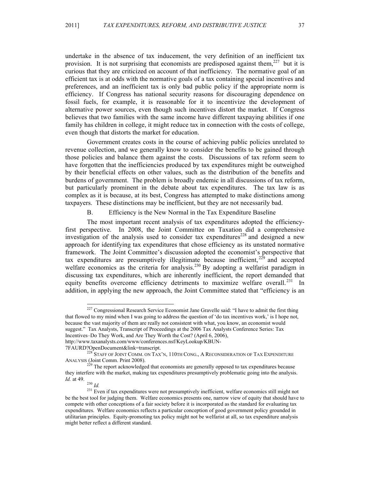undertake in the absence of tax inducement, the very definition of an inefficient tax provision. It is not surprising that economists are predisposed against them,<sup>227</sup> but it is curious that they are criticized on account of that inefficiency. The normative goal of an efficient tax is at odds with the normative goals of a tax containing special incentives and preferences, and an inefficient tax is only bad public policy if the appropriate norm is efficiency. If Congress has national security reasons for discouraging dependence on fossil fuels, for example, it is reasonable for it to incentivize the development of alternative power sources, even though such incentives distort the market. If Congress believes that two families with the same income have different taxpaying abilities if one family has children in college, it might reduce tax in connection with the costs of college, even though that distorts the market for education.

Government creates costs in the course of achieving public policies unrelated to revenue collection, and we generally know to consider the benefits to be gained through those policies and balance them against the costs. Discussions of tax reform seem to have forgotten that the inefficiencies produced by tax expenditures might be outweighed by their beneficial effects on other values, such as the distribution of the benefits and burdens of government. The problem is broadly endemic in all discussions of tax reform, but particularly prominent in the debate about tax expenditures. The tax law is as complex as it is because, at its best, Congress has attempted to make distinctions among taxpayers. These distinctions may be inefficient, but they are not necessarily bad.

B. Efficiency is the New Normal in the Tax Expenditure Baseline

The most important recent analysis of tax expenditures adopted the efficiencyfirst perspective. In 2008, the Joint Committee on Taxation did a comprehensive investigation of the analysis used to consider tax expenditures<sup>228</sup> and designed a new approach for identifying tax expenditures that chose efficiency as its unstated normative framework. The Joint Committee's discussion adopted the economist's perspective that tax expenditures are presumptively illegitimate because inefficient,  $2^{29}$  and accepted welfare economics as the criteria for analysis.<sup>230</sup> By adopting a welfarist paradigm in discussing tax expenditures, which are inherently inefficient, the report demanded that equity benefits overcome efficiency detriments to maximize welfare overall.<sup>231</sup> In addition, in applying the new approach, the Joint Committee stated that "efficiency is an

 $227$  Congressional Research Service Economist Jane Gravelle said: "I have to admit the first thing that flowed to my mind when I was going to address the question of 'do tax incentives work,' is I hope not, because the vast majority of them are really not consistent with what, you know, an economist would suggest." Tax Analysts, Transcript of Proceedings at the 2006 Tax Analysts Conference Series: Tax Incentives–Do They Work, and Are They Worth the Cost? (April 6, 2006), http://www.taxanalysts.com/www/conferences.nsf/KeyLookup/KBUN-

<sup>7</sup>FAURD?OpenDocument&link=transcript. <sup>228</sup> STAFF OF JOINT COMM. ON TAX'N, 110TH CONG., A RECONSIDERATION OF TAX EXPENDITURE ANALYSIS (Joint Comm. Print 2008).

<sup>&</sup>lt;sup>229</sup> The report acknowledged that economists are generally opposed to tax expenditures because they interfere with the market, making tax expenditures presumptively problematic going into the analysis. *Id.* at 49.

 $^{230}$  *Id.*  $^{231}$  Even if tax expenditures were not presumptively inefficient, welfare economics still might not be the best tool for judging them. Welfare economics presents one, narrow view of equity that should have to compete with other conceptions of a fair society before it is incorporated as the standard for evaluating tax expenditures. Welfare economics reflects a particular conception of good government policy grounded in utilitarian principles. Equity-promoting tax policy might not be welfarist at all, so tax expenditure analysis might better reflect a different standard.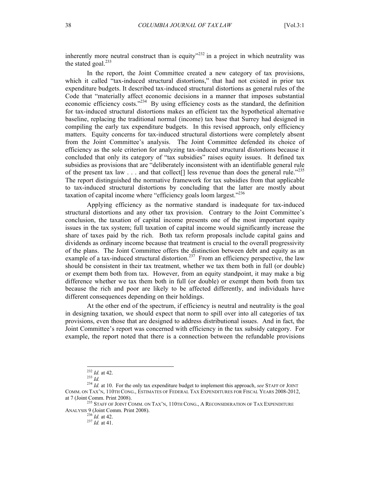inherently more neutral construct than is equity<sup> $232$ </sup> in a project in which neutrality was the stated goal.<sup>233</sup>

In the report, the Joint Committee created a new category of tax provisions, which it called "tax-induced structural distortions," that had not existed in prior tax expenditure budgets. It described tax-induced structural distortions as general rules of the Code that "materially affect economic decisions in a manner that imposes substantial economic efficiency costs."<sup>234</sup> By using efficiency costs as the standard, the definition for tax-induced structural distortions makes an efficient tax the hypothetical alternative baseline, replacing the traditional normal (income) tax base that Surrey had designed in compiling the early tax expenditure budgets. In this revised approach, only efficiency matters. Equity concerns for tax-induced structural distortions were completely absent from the Joint Committee's analysis. The Joint Committee defended its choice of efficiency as the sole criterion for analyzing tax-induced structural distortions because it concluded that only its category of "tax subsidies" raises equity issues. It defined tax subsidies as provisions that are "deliberately inconsistent with an identifiable general rule of the present tax law  $\ldots$  and that collect [] less revenue than does the general rule.<sup>2235</sup> The report distinguished the normative framework for tax subsidies from that applicable to tax-induced structural distortions by concluding that the latter are mostly about taxation of capital income where "efficiency goals loom largest."<sup>236</sup>

Applying efficiency as the normative standard is inadequate for tax-induced structural distortions and any other tax provision. Contrary to the Joint Committee's conclusion, the taxation of capital income presents one of the most important equity issues in the tax system; full taxation of capital income would significantly increase the share of taxes paid by the rich. Both tax reform proposals include capital gains and dividends as ordinary income because that treatment is crucial to the overall progressivity of the plans. The Joint Committee offers the distinction between debt and equity as an example of a tax-induced structural distortion.<sup>237</sup> From an efficiency perspective, the law should be consistent in their tax treatment, whether we tax them both in full (or double) or exempt them both from tax. However, from an equity standpoint, it may make a big difference whether we tax them both in full (or double) or exempt them both from tax because the rich and poor are likely to be affected differently, and individuals have different consequences depending on their holdings.

At the other end of the spectrum, if efficiency is neutral and neutrality is the goal in designing taxation, we should expect that norm to spill over into all categories of tax provisions, even those that are designed to address distributional issues. And in fact, the Joint Committee's report was concerned with efficiency in the tax subsidy category. For example, the report noted that there is a connection between the refundable provisions

<sup>&</sup>lt;sup>232</sup> *Id.* at 42.<br><sup>233</sup> *Id.* 234 *Id.* at 10. For the only tax expenditure budget to implement this approach, *see* STAFF OF JOINT COMM. ON TAX'N, 110TH CONG., ESTIMATES OF FEDERAL TAX EXPENDITURES FOR FISCAL YEARS 2008-2012, at 7 (Joint Comm. Print 2008).

 $^{235}$  STAFF OF JOINT COMM. ON TAX'N, 110TH CONG., A RECONSIDERATION OF TAX EXPENDITURE ANALYSIS 9 (Joint Comm. Print 2008).<br> $^{236}$  *Id.* at 42.

 $^{237}$  *Id.* at 41.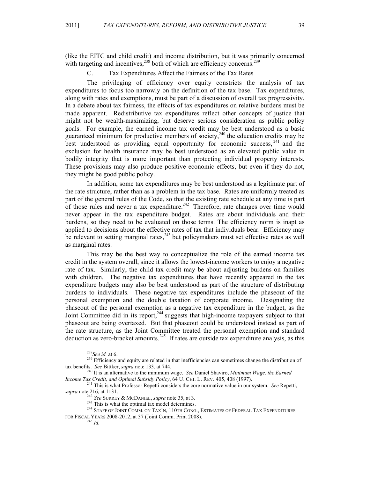(like the EITC and child credit) and income distribution, but it was primarily concerned with targeting and incentives,  $238$  both of which are efficiency concerns.  $239$ 

C. Tax Expenditures Affect the Fairness of the Tax Rates

The privileging of efficiency over equity constricts the analysis of tax expenditures to focus too narrowly on the definition of the tax base. Tax expenditures, along with rates and exemptions, must be part of a discussion of overall tax progressivity. In a debate about tax fairness, the effects of tax expenditures on relative burdens must be made apparent. Redistributive tax expenditures reflect other concepts of justice that might not be wealth-maximizing, but deserve serious consideration as public policy goals. For example, the earned income tax credit may be best understood as a basic guaranteed minimum for productive members of society,<sup>240</sup> the education credits may be best understood as providing equal opportunity for economic success,  $241$  and the exclusion for health insurance may be best understood as an elevated public value in bodily integrity that is more important than protecting individual property interests. These provisions may also produce positive economic effects, but even if they do not, they might be good public policy.

In addition, some tax expenditures may be best understood as a legitimate part of the rate structure, rather than as a problem in the tax base. Rates are uniformly treated as part of the general rules of the Code, so that the existing rate schedule at any time is part of those rules and never a tax expenditure.<sup>242</sup> Therefore, rate changes over time would never appear in the tax expenditure budget. Rates are about individuals and their burdens, so they need to be evaluated on those terms. The efficiency norm is inapt as applied to decisions about the effective rates of tax that individuals bear. Efficiency may be relevant to setting marginal rates,<sup>243</sup> but policymakers must set effective rates as well as marginal rates.

This may be the best way to conceptualize the role of the earned income tax credit in the system overall, since it allows the lowest-income workers to enjoy a negative rate of tax. Similarly, the child tax credit may be about adjusting burdens on families with children. The negative tax expenditures that have recently appeared in the tax expenditure budgets may also be best understood as part of the structure of distributing burdens to individuals. These negative tax expenditures include the phaseout of the personal exemption and the double taxation of corporate income. Designating the phaseout of the personal exemption as a negative tax expenditure in the budget, as the Joint Committee did in its report,<sup>244</sup> suggests that high-income taxpayers subject to that phaseout are being overtaxed. But that phaseout could be understood instead as part of the rate structure, as the Joint Committee treated the personal exemption and standard deduction as zero-bracket amounts.<sup>245</sup> If rates are outside tax expenditure analysis, as this

<sup>&</sup>lt;sup>238</sup>*See id.* at 6.<br><sup>239</sup> Efficiency and equity are related in that inefficiencies can sometimes change the distribution of tax benefits. *See* Bittker, *supra* note 133, at 744. 240 It is an alternative to the minimum wage. *See* Daniel Shaviro, *Minimum Wage, the Earned* 

*Income Tax Credit, and Optimal Subsidy Policy*, 64 U. CHI. L. REV. 405, 408 (1997).<br><sup>241</sup> This is what Professor Repetti considers the core normative value in our system. *See* Repetti, *supra* note 216, at 1131.

<sup>&</sup>lt;sup>242</sup> See SURREY & MCDANIEL, *supra* note 35, at 3.<br><sup>243</sup> This is what the optimal tax model determines.<br><sup>243</sup> STAFF OF JOINT COMM. ON TAX'N, 110TH CONG., ESTIMATES OF FEDERAL TAX EXPENDITURES FOR FISCAL YEARS 2008-2012, at 37 (Joint Comm. Print 2008). <sup>245</sup> *Id.*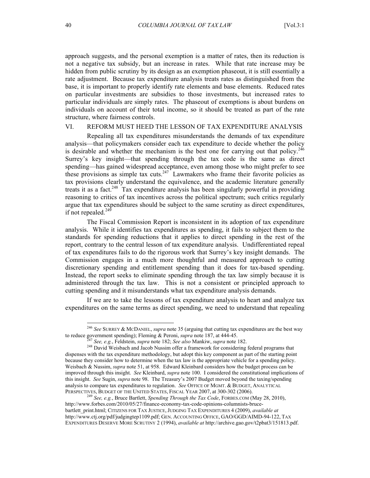approach suggests, and the personal exemption is a matter of rates, then its reduction is not a negative tax subsidy, but an increase in rates. While that rate increase may be hidden from public scrutiny by its design as an exemption phaseout, it is still essentially a rate adjustment. Because tax expenditure analysis treats rates as distinguished from the base, it is important to properly identify rate elements and base elements. Reduced rates on particular investments are subsidies to those investments, but increased rates to particular individuals are simply rates. The phaseout of exemptions is about burdens on individuals on account of their total income, so it should be treated as part of the rate structure, where fairness controls.

### VI. REFORM MUST HEED THE LESSON OF TAX EXPENDITURE ANALYSIS

Repealing all tax expenditures misunderstands the demands of tax expenditure analysis—that policymakers consider each tax expenditure to decide whether the policy is desirable and whether the mechanism is the best one for carrying out that policy.<sup>246</sup> Surrey's key insight—that spending through the tax code is the same as direct spending—has gained widespread acceptance, even among those who might prefer to see these provisions as simple tax cuts.<sup>247</sup> Lawmakers who frame their favorite policies as tax provisions clearly understand the equivalence, and the academic literature generally treats it as a fact.<sup>248</sup> Tax expenditure analysis has been singularly powerful in providing reasoning to critics of tax incentives across the political spectrum; such critics regularly argue that tax expenditures should be subject to the same scrutiny as direct expenditures, if not repealed.<sup>249</sup>

The Fiscal Commission Report is inconsistent in its adoption of tax expenditure analysis. While it identifies tax expenditures as spending, it fails to subject them to the standards for spending reductions that it applies to direct spending in the rest of the report, contrary to the central lesson of tax expenditure analysis. Undifferentiated repeal of tax expenditures fails to do the rigorous work that Surrey's key insight demands. The Commission engages in a much more thoughtful and measured approach to cutting discretionary spending and entitlement spending than it does for tax-based spending. Instead, the report seeks to eliminate spending through the tax law simply because it is administered through the tax law. This is not a consistent or principled approach to cutting spending and it misunderstands what tax expenditure analysis demands.

If we are to take the lessons of tax expenditure analysis to heart and analyze tax expenditures on the same terms as direct spending, we need to understand that repealing

<sup>&</sup>lt;sup>246</sup> See SURREY & McDANIEL, *supra* note 35 (arguing that cutting tax expenditures are the best way to reduce government spending); Fleming & Peroni, *supra* note 187, at 444-45.

 $^{247}$  See, e.g., Feldstein, supra note 182; See also Mankiw, supra note 182.<br><sup>248</sup> David Weisbach and Jacob Nussim offer a framework for considering federal programs that dispenses with the tax expenditure methodology, but adopt this key component as part of the starting point because they consider how to determine when the tax law is the appropriate vehicle for a spending policy. Weisbach & Nussim, *supra* note 51, at 958. Edward Kleinbard considers how the budget process can be improved through this insight. *See* Kleinbard, *supra* note 100. I considered the constitutional implications of this insight. *See* Sugin, *supra* note 98. The Treasury's 2007 Budget moved beyond the taxing/spending analysis to compare tax expenditures to regulation. *See* OFFICE OF MGMT. & BUDGET, ANALYTICAL

PERSPECTIVES, BUDGET OF THE UNITED STATES, FISCAL YEAR 2007, at 300-302 (2006). <sup>249</sup> *See, e.g.*, Bruce Bartlett, *Spending Through the Tax Code*, FORBES.COM (May 28, 2010), http://www.forbes.com/2010/05/27/finance-economy-tax-code-opinions-columnists-brucebartlett\_print.html; CITIZENS FOR TAX JUSTICE,JUDGING TAX EXPENDITURES 4 (2009), *available at*  http://www.ctj.org/pdf/judgingtep1109.pdf; GEN. ACCOUNTING OFFICE, GAO/GGD/AIMD-94-122, TAX EXPENDITURES DESERVE MORE SCRUTINY 2 (1994), *available at* http://archive.gao.gov/t2pbat3/151813.pdf.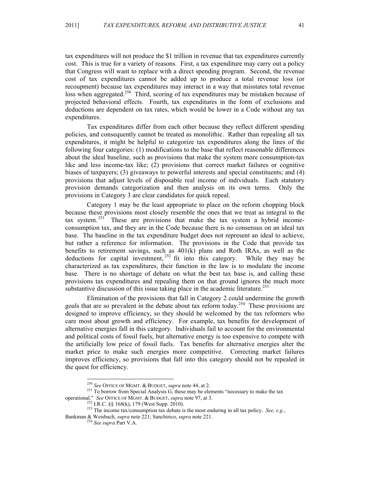tax expenditures will not produce the \$1 trillion in revenue that tax expenditures currently cost. This is true for a variety of reasons. First, a tax expenditure may carry out a policy that Congress will want to replace with a direct spending program. Second, the revenue cost of tax expenditures cannot be added up to produce a total revenue loss (or recoupment) because tax expenditures may interact in a way that misstates total revenue loss when aggregated.<sup>250</sup> Third, scoring of tax expenditures may be mistaken because of projected behavioral effects. Fourth, tax expenditures in the form of exclusions and deductions are dependent on tax rates, which would be lower in a Code without any tax expenditures.

Tax expenditures differ from each other because they reflect different spending policies, and consequently cannot be treated as monolithic. Rather than repealing all tax expenditures, it might be helpful to categorize tax expenditures along the lines of the following four categories: (1) modifications to the base that reflect reasonable differences about the ideal baseline, such as provisions that make the system more consumption-tax like and less income-tax like; (2) provisions that correct market failures or cognitive biases of taxpayers; (3) giveaways to powerful interests and special constituents; and (4) provisions that adjust levels of disposable real income of individuals. Each statutory provision demands categorization and then analysis on its own terms. Only the provisions in Category 3 are clear candidates for quick repeal.

Category 1 may be the least appropriate to place on the reform chopping block because these provisions most closely resemble the ones that we treat as integral to the tax system.<sup>251</sup> These are provisions that make the tax system a hybrid incomeconsumption tax, and they are in the Code because there is no consensus on an ideal tax base. The baseline in the tax expenditure budget does not represent an ideal to achieve, but rather a reference for information. The provisions in the Code that provide tax benefits to retirement savings, such as  $401(k)$  plans and Roth IRAs, as well as the deductions for capital investment,  $^{252}$  fit into this category. While they may be characterized as tax expenditures, their function in the law is to modulate the income base. There is no shortage of debate on what the best tax base is, and calling these provisions tax expenditures and repealing them on that ground ignores the much more substantive discussion of this issue taking place in the academic literature.<sup>253</sup>

Elimination of the provisions that fall in Category 2 could undermine the growth goals that are so prevalent in the debate about tax reform today.<sup>254</sup> These provisions are designed to improve efficiency, so they should be welcomed by the tax reformers who care most about growth and efficiency. For example, tax benefits for development of alternative energies fall in this category. Individuals fail to account for the environmental and political costs of fossil fuels, but alternative energy is too expensive to compete with the artificially low price of fossil fuels. Tax benefits for alternative energies alter the market price to make such energies more competitive. Correcting market failures improves efficiency, so provisions that fall into this category should not be repealed in the quest for efficiency.

<sup>&</sup>lt;sup>250</sup> *See* OFFICE OF MGMT. & BUDGET, *supra* note 44, at 2.<br><sup>251</sup> To borrow from Special Analysis G, these may be elements "necessary to make the tax operational." *See* OFFICE OF MGMT. & BUDGET, *supra* note 97, at 3.

one. See OFFICE OF MGMT. & BUDGET, *supra* note 97, at 3.<br><sup>252</sup> I.R.C. §§ 168(k), 179 (West Supp. 2010).<br><sup>253</sup> The income tax/consumption tax debate is the most enduring in all tax policy. *See, e.g.*, Bankman & Weisbach, *supra* note 221; Sanchirico, *supra* note 221. <sup>254</sup> *See supra* Part V.A.